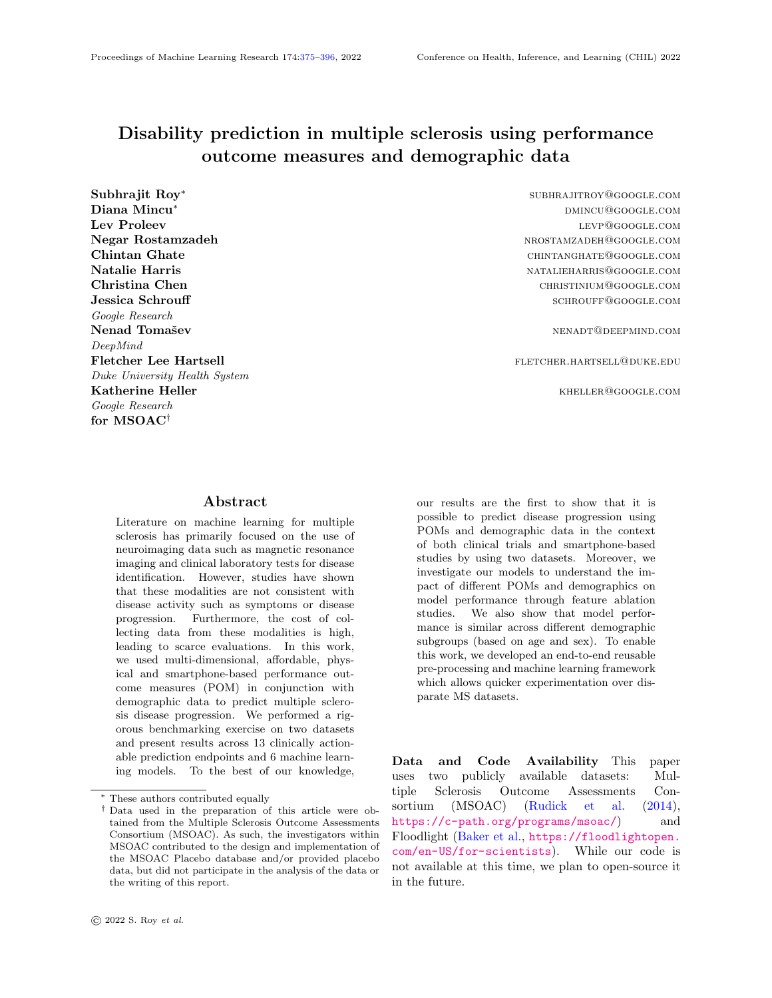# Disability prediction in multiple sclerosis using performance outcome measures and demographic data

Subhrajit Roy<sup>∗</sup> Google Research Nenad Tomašev nenadte versus versus versus versus versus versus versus versus versus versus versus versus versus versus versus versus versus versus versus versus versus versus versus versus versus versus versus versus vers DeepMind Fletcher Lee Hartsell **fletcher Lee Hartsell fletcher Lee Hartsell fletcher.** FLETCHER. HARTSELL@DUKE.EDU Duke University Health System Katherine Heller **Katherine Heller Kheller** Kheller **Kheller Kheller Kheller Kheller Kheller Kheller Kheller** Google Research for MSOAC†

#### Abstract

<span id="page-0-0"></span>Literature on machine learning for multiple sclerosis has primarily focused on the use of neuroimaging data such as magnetic resonance imaging and clinical laboratory tests for disease identification. However, studies have shown that these modalities are not consistent with disease activity such as symptoms or disease progression. Furthermore, the cost of collecting data from these modalities is high, leading to scarce evaluations. In this work, we used multi-dimensional, affordable, physical and smartphone-based performance outcome measures (POM) in conjunction with demographic data to predict multiple sclerosis disease progression. We performed a rigorous benchmarking exercise on two datasets and present results across 13 clinically actionable prediction endpoints and 6 machine learning models. To the best of our knowledge,

subhra utroy@google.com Diana Mincu<sup>∗</sup> dministration of the community of the community of the community of the community of the community of the community of the community of the community of the community of the community of the community of th **Lev Proleev level and the community of the community of the community of the community of the community of the community of the community of the community of the community of the community of the community of the communit** Negar Rostamzadeh nrostami habitat a manazar a manazar a na manazar a manazar a na manazar a manazar a na manaz Chintan Ghate chintanghate chintanghate chintanghate chintanghate chintanghate chintanghate chintanghate chintanghate chintanghate chintanghate chintanghate chintanghate chintanghate chintanghate chintanghate chintanghate Natalie Harris **natalie Harris natalieharris natalieharris** natalieharris natalieharris natalieharris natalieh Christina Chen christinium Chen christinium Chen christinium Chen christinium Chen christinium Chen christinium Chen christinium Chen christinium Chen christinium Chen christinium Chen christinium Chen christinium Chen chr Jessica Schrouff schrouff@google.com

our results are the first to show that it is possible to predict disease progression using POMs and demographic data in the context of both clinical trials and smartphone-based studies by using two datasets. Moreover, we investigate our models to understand the impact of different POMs and demographics on model performance through feature ablation studies. We also show that model performance is similar across different demographic subgroups (based on age and sex). To enable this work, we developed an end-to-end reusable pre-processing and machine learning framework which allows quicker experimentation over disparate MS datasets.

Data and Code Availability This paper uses two publicly available datasets: Multiple Sclerosis Outcome Assessments Consortium (MSOAC) (Rudick et al. (2014), <https://c-path.org/programs/msoac/>) and Floodlight (Baker et al., [https://floodlightopen.](https://floodlightopen.com/en-US/for-scientists) [com/en-US/for-scientists](https://floodlightopen.com/en-US/for-scientists)). While our code is not available at this time, we plan to open-source it in the future.

<sup>∗</sup> These authors contributed equally

<sup>†</sup> Data used in the preparation of this article were obtained from the Multiple Sclerosis Outcome Assessments Consortium (MSOAC). As such, the investigators within MSOAC contributed to the design and implementation of the MSOAC Placebo database and/or provided placebo data, but did not participate in the analysis of the data or the writing of this report.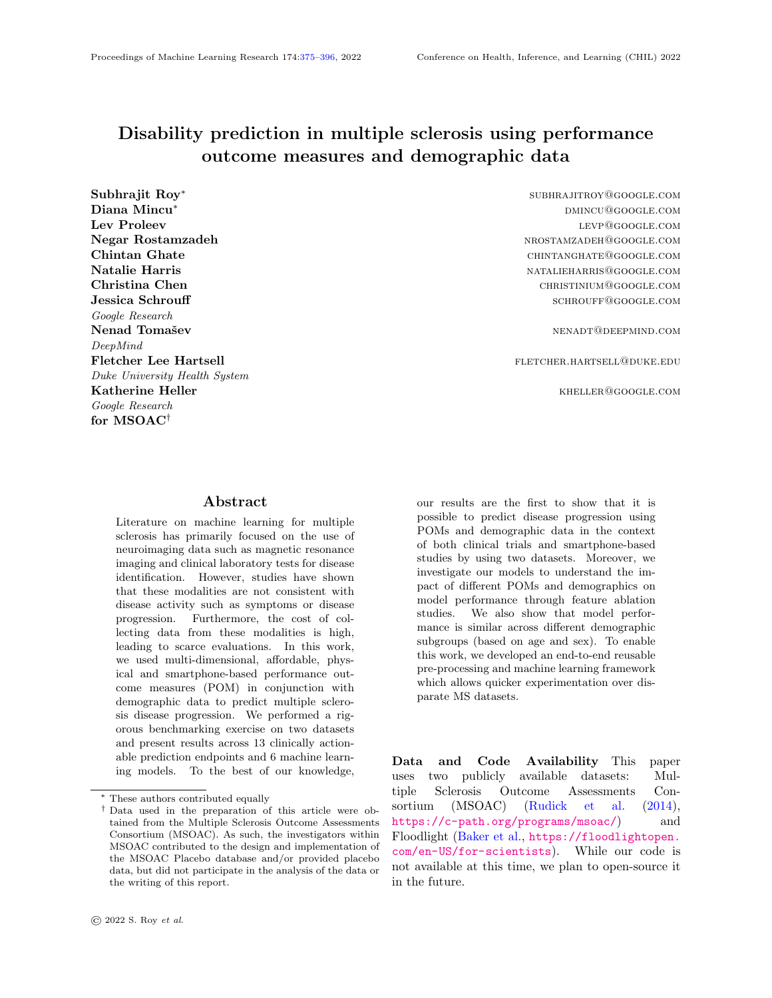## 1. Introduction

Multiple sclerosis (MS) is a neurological disease that aects around 2.8 million people worldwide and is the leading cause of non-traumatic disability in young adults (The Multiple Sclerosis International Federation, 2020). The primary goal of a clinician treating MS is to manage disease activity and reduce the risk of disability. As such, the ability to accurately predict MS disease progression has the potential to guide therapy and may inform decisions about the most effective care. While machine learning (ML) models have been developed for predicting disease progression in MS (Pinto et al., 2020; [Zhao et al.](#page-13-0), [2017](#page-13-0); Rodriguez et al., 2012; Seccia et al., 2020; Tommasin et al., 2021), these approaches primarily rely on using clinically-acquired information such as magnetic resonance imaging (MRI) [\(Zhao et al.](#page-13-0), [2017](#page-13-0)), clinical laboratory tests or clinical history (Seccia et al., 2020). A lack of association between disease activity and these modalities has previously been iden- a rst step towards development of machine learning tied ([Whitaker et al.,](#page-13-1) [1995\),](#page-13-1) which in turn led to the development of multi-dimensional performance research in this application area. outcome measures (POMs) such as Multiple sclerosis functional composite (MSFC) scores to accurately track MS disease progression (Rudick et al., 2. Methods 2002). POMs are time-stamped responses collected from MS subjects either through assessment tests or questionnaires, which are used to track disease pro-We looked at two datasets for benchmarking, one gression. These include tests to quantify walking recorded in a clinical trial setting (MSOAC), and ability, balance, cognition, and dexterity { physiological functions that are adversely a ected by MS. The frequency of data collection may vary with intervals ranging from a day to multiple months. In addition, they also reduce costs related to personnel, cal trials, while the Floodlight dataset records outequipment, space, and time requirements compared come measures collected via an electronic equivalent to neuroimaging or clinical laboratory tests. POMs have also been used alongside neuroimaging-derive $\Phi$ oth have been previously used for machine learning data for predicting disability in MS (Law et al., 2019). Moreover, while POMs and demographic data have 2020). A comparison of the two datasets can be seen been used to diagnose MS (Schwab and Karlen, 2021) in Table 1 and a set of statistics on the data can be these have not been used for continually predicting found in Appendix E. MS disability progression.

In this work, we investigate the possibility of using POMs (physical or electronic) and demographic data for predicting disease progression (in particular disability scores), in MS subjects, in both a clinical and at-home setting. We proof-test this idea using two openly accessible MS datasets: MSOAC (LaRoccaet al., 2018) with 2,465 individual patient records. et al., 2018) and Floodlight (Baker et al.). Our contributions are as follows:

- 1. Novel ML Health solution: We present for the rst time (to the best of our knowledge) that the conjunction of POMs and demographic data can be used to successfully and continually predict long- and short-term MS disease progression for clinical and smartphone-based datasets.
- 2. Additional analysis: We show that model performance is similar across di erent demographic subgroups (based on age and sex), and perform multiple feature ablations to understand the contributions of dierent POMS and demographics to the predictions.
- 3. Reliability and scalability: We present a reusable end-to-end pre-processing and machine learning modelling framework that enables benchmarking on dierent MS datasets. Our proposed framework focuses on reliable dataset ingestion through a common format, scalable label creation and metrics computation.

We envision that our work will not only serve as models for monitoring MS, but also spur more ML

### 2.1. Data description

one from a mobile app in a clinically unsupervised manner (Floodlight). The MSOAC dataset records POMs from physical MSFC tests which were performed by the subjects in-clinic as a part of cliniof MSFC tests taken by the subjects on a smartphone. explorations (Schwab and Karlen, 2020; Walsh et al.,

MSOAC Placebo Database: The Multiple Sclerosis Outcome Assessments Consortium (MSOAC, (Rudick et al., 2014)) was launched in 2012 to collect, standardize, and analyze data about MS. To that end, their Placebo Database collects data from the placebo arms of 9 di erent clinical trials (LaRocca

It contains information on: demographics, medical history, POMs (e.g. timed walk test, dexterity tests,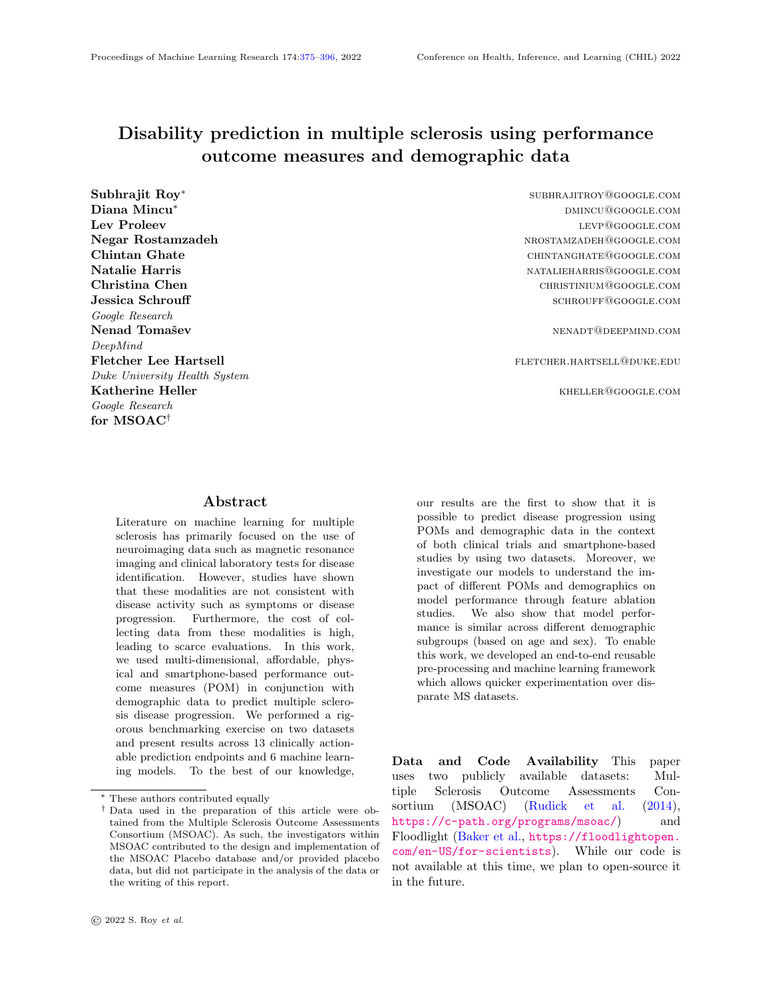|                                   | <b>MSOAC</b>                            | Floodlight            |
|-----------------------------------|-----------------------------------------|-----------------------|
| Modality                          | <b>Clinical visit</b>                   | Smartphone            |
| Cohort                            | MS subjects only                        | MS subjects + control |
| Frequency of assessment 3-monthly |                                         | Continuous            |
| Test type                         | <b>Physical Multiple Sclerosis</b>      | Smartphone-based      |
|                                   | Functional Composite (MSFC) scores      |                       |
| Clinician annotation              | Expanded Disability Status Scale (EDSS) | None                  |
| Number of patients                | 2,465                                   | 2,339                 |

Table 1: Comparison of the MSOAC and Floodlight datasets.

auditory and visual acuity tests), patient reported clinical dataset and the smartphone-based dataset are outcome measures (e.g. health survey), relapse in-transformed into the Subject representation, a Laformation and the MS sub-type, and clinically vetted bel Creator runs on all processed data and enriches measurements such as the Expanded Disability Sta- it with labels (see Sec. 2.3 for a description of the tus Scale (EDSS) (Kurtzke, 1983a).

by Roche and Genentech (Baker et al.) designed to mon across multiple di erent datasets. The proposed ing clinical visits and allow healthcare professionals pre-processing in one dataset or the other. to have a greater understanding of the disease. It contains a set of active tests that measure brain function pendix) is used to save all model output. This in turn (daily mood question, symbol matching), hand func-gets fed into the metrics pipeline which can provide tion (draw a shape, on-screen pinching) and mobility results at both population and subgroup levels. (timed two minute walk, balance, u-turn). Unlike MSOAC, it does not contain any clinically or expert dened labels.

The app is still active at the time of writing and the number of enrolled patients is constantly growing. June 2021 and has a total of 2,339 subjects, including stant across time (static) such as the medical history both MS patients ( $n = 1,236$ ) and control subjects or the subject's sex<sup>1</sup>, but also timestamp-based infor- $(n = 1; 103)$ .

#### 2.2. Data processing

Since the type and structure of the data contained in the two datasets are quite di erent, typically all data processing would be done individually for each dataset. This can lead to slight di erences in the resulting model input, making direct comparison between datasets di cult. To avoid this pitfall, we evaluation pipeline (shown in Figure 1) which enables us to reuse a number of downstream components and do a reliable cross-dataset comparison.

#### 2.2.1. Pipeline overview

The raw data is taken through a set of processing steps into a common representation called Subject,  $\frac{1}{1}$ . In MSOAC this is clinician reported, while in Floodlight inspired from (Tomasev et al., 2021). Once both the

Floodlight: Floodlight is a mobile app developed input. The labels can be dataset-specic, or comcombat the infrequent measurements observed dur- pipeline is feature agnostic i.e. there is no speci c tasks), after which it gets transformed into model

After training, a prediction format (Table A7, Ap-

#### 2.2.2. Common format

The data snapshot we use was taken on the 15th of level, each subject has some information that is con-A full description of each eld present in this representation can be found in Appendix A. At a high mation (dynamic) encompassing all medical events either outpatient or inpatient. Multiple such Events can be grouped into an Episode, but an individual Event can also form an Episode on its own.

have devised a general data processing, modelling and ources depend on the dataset, this leaves a common The part that enables each dataset to be processed individually is the concept of Resources. These can be functional tests, questionnaires, medications or more, depending on the types of data available in each dataset. Each medical event has a set of resources associated with it, and since the types of reoverall structure while still allowing for variability.

> To better illustrate this structure we can look at what this means for our two datasets. In the case of MSOAC, an Episode corresponds to a visit to the clinic, including all the tests performed. The data available at each visit consists of functional tests,

it is self reported.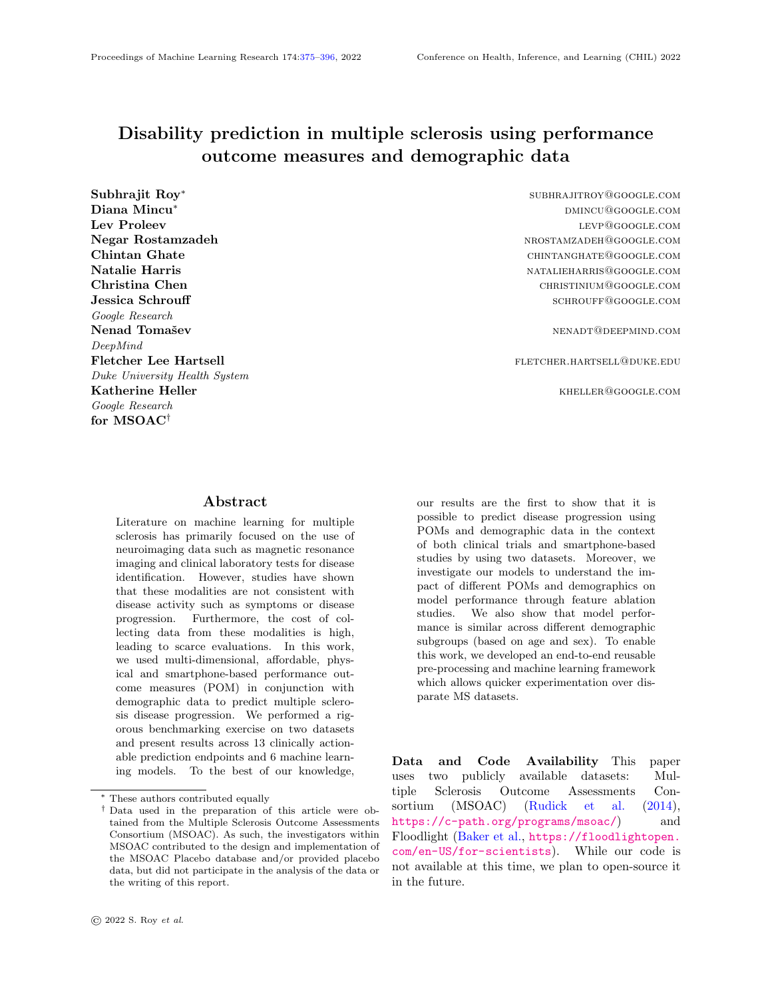Figure 1: Dataset processing pipeline with common downstream modelling infrastructure

questionnaires and medications. Each of these is rep-clinically insightful tasks such as the severity of EDSS resented as a Resource. Given that MSOAC doesscores and whether it crosses a certain disability risknot provide timestamps for these resources, they are threshold. Detecting a change in EDSS severity could considered as part of the same Event. For Flood-signal to a clinician the need to change the medicalight, the dataset contains less but more frequent and tion a patient is on, or be used to check whether a timestamped measurements. In this case, we de ne treatment is e ective.

an Episode as 24 hours of data, and each Event cor-All tasks are implemented as continuous predicresponds to a new POM. The two types of resources tions, triggered at every visit. Fixed prediction horiavailable are functional tests and questionnaires. zons are chosen for each task based on expert clinical

We emphasise that the datasets are not merged, input on the window of actionability (Table 2). These but separately converted into the common Subject are 0 - 6 months, 6 - 12 months, 12 - 18 months and representation. Our goal is to demonstrate that ML modelling for disability prediction in MS is possible

for two disparate datasets using the same modelling framework.

#### 2.3. Prediction tasks

The disability prediction tasks are selected such that they are clinically actionable in the context of the particular dataset they are de ned in.

### 2.3.1. MSOAC

2.3.1.1. EDSS: For MSOAC our primary prediction endpoints are derived from clinician-annotated EDSS scores which is a commonly used measure oan overall disability score by taking the average of long-term MS disability (Kurtzke, 1983b). The EDSS scale ranges from 0 to 10, in 0.5 unit increments. ture exists on how to de ne disability scores from

18 - 24 months.

## 2.3.2. Floodlight

EDSS scores can be divided into distinct severity cat-smartphone-based assessment tests, we rely on exegories: 0-1 for no disability, 1.5-2.5 for mild disabil-pert input and expect the score to be a close proxy ity, 3-4.5 for moderate disability, and 5-10 for severe of EDSS. These tasks are formulated as regression disability. In this paper, we consider both the pre-tasks since smartphone-based tests are relatively new diction of raw EDSS scores  $EDSS_{mean}$  ) and more and hence severity categories are not de ned in lit-2.3.2.1. Disability scores: Floodlight does not contain any expert annotations, so we developed a score that closely mimics EDSS. EDSS is divided into multiple components measuring di erent kinds of disability: neural function, ambulatory, and walking. We categorize the assessment tests present in the Floodlight dataset into the above categories and perform a weighted combination of the tests in each category to develop three individual disability scores for separate functional systems. We also compute the individual functional scores. Given no litera-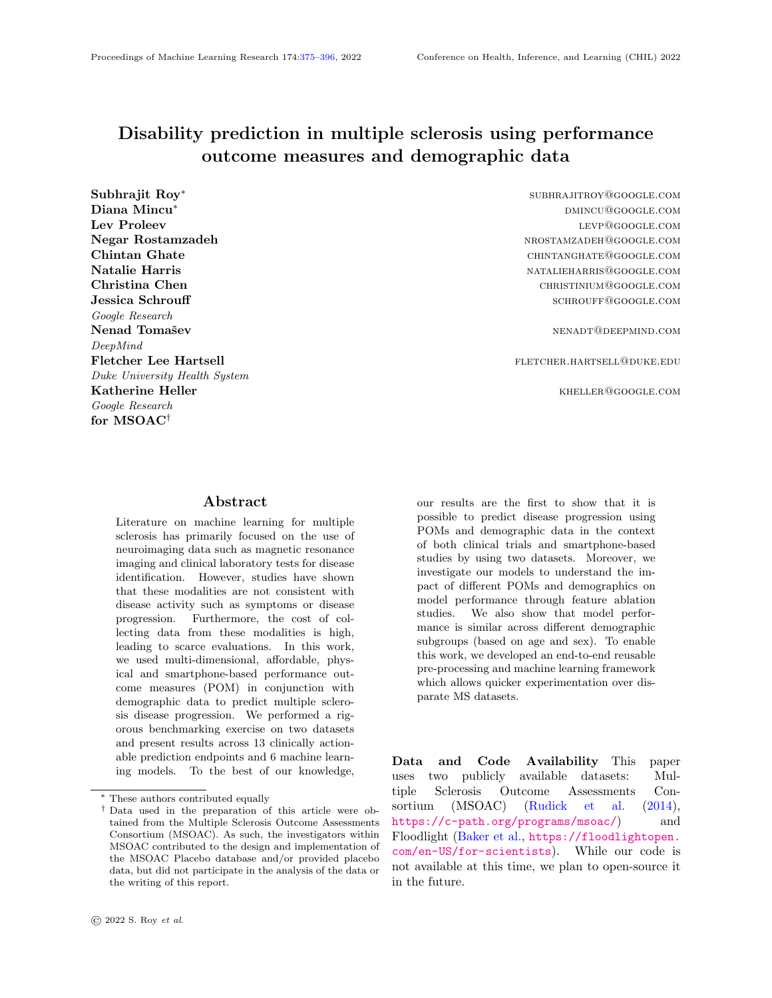erature. For the purpose of this work, we assume on forecasting disability by predicting substantial dethat continuous predictions of this derived disability viations of questionnaire and functional test values. score provides insights on the progression of the dis-This is because: (a) EDSS or other aggregated disease. While the EDSS-derived labels in Sec. 2.3.1.1ability scores are combined across functional systems track long-term changes in disability, the higher fre-and (b) EDSS has been criticised to be focused more quency recordings of Floodlight enables the predic-on mobility and less on cognitive abilities or dexterity tion of short-term changes. (Meyer-Moock et al., 2014). Successfully predicting

Similar to the section above, all tasks are posed as the deviation of individual functional tests can pocontinuous predictions, triggered after a new POM tentially be more informative for clinicians in underis available. Prediction horizons for these tasks are standing which functional systems of a subject are smaller than for MSOAC: 0 - 1 weeks, 1 - 2 weeks likely to contribute to a subject's future disability. and 2 - 4 weeks (Table 3). This is because (a) fre-We dene the disability progression labels as a change quent measurements are possible via a smartphone (greater/lesser) of 20% (Goldman et al., 2019) from and hence short-term changes in disability trends can a baseline, where the baseline is updated as time probe predicted and (b) most Floodlight users stop us-gresses, for each subject and each feature. This led to ing the app after a certain point, so long-term data a three-class classication problem where each timesis not available.

2.3.2.2. Smartphone-based diagnosis of MS:

While predicting disability progression in MS is benecial in both a clinical and at-home context, earlier diagnosis and treatment of MS is considered the best path to ghting it (Miller, 2004). Multiple studies have shown a delay between symptom development, vent any label leakage during the training and testing<br>have shown a delay between symptom development, which was the Franklop of Carlistics of the FROG to rst medical visit and then nally to diagnosis, with an average of 1-2 years between symptom onset score feature for EDSS-derived targets. For both and diagnosis (Ghiasian et al., 2021; Fernandez et al., **EVICY.** We sensive that the asage of smartphones can weight, height (dataset dependent, where available).<br>enable large-scale diagnosis of MS in a more timely. manner.

To test this hypothesis, we use the Floodlight dataset to predict whether a subject has MS or not. This is not possible in MSOAC as we do not have control subjects. The problem statement is formulated as follows: we are givenN POMs in total for each subject since the start of data collection, along with the self-reported ground truth on whether or not they have MS. The models have to predict whether the set of N tests belong to a subject with MS. We vary N as = 5, 10, 20, 30, 40, 50, 60, 70, 80, 90, 100. Note that it is desirable to use less tests for making this prediction, not only to enable earlier access to clinical care, but also to tackle the adherence problem which plagues smartphone-based health studies (Patoz et al., 2021; Pathiravasan et al., 2021).

#### 2.3.3. Cross-dataset

2.3.3.1. Disability progression: To investigate dierences in signal between the two datasets, we also dene a common label across both MSOAC and

tamp was annotated with one of the three labels: disability unchanged, improved, or worsened.

2.4. Features and Missingness

and diagnosic (Unidotal St all, 2021, Fortundoz of all, tests, and patient characteristics such as age, sex, 2010). We believe that the usage of smartphones can We de ne a set of input features for each task to preof the model. For MSOAC, we eliminate the EDSS datasets we only use the questionnaires, functional

In total, there are 92 distinct features for MSOAC (POMs are multi-component) and 24 for Floodlight.

Figure 2: Feature sparsity in MSOAC

Floodlight (Figure A6, Appendix D). It is focused look at population level counts for each feature and To evaluate feature sparsity in our datasets, we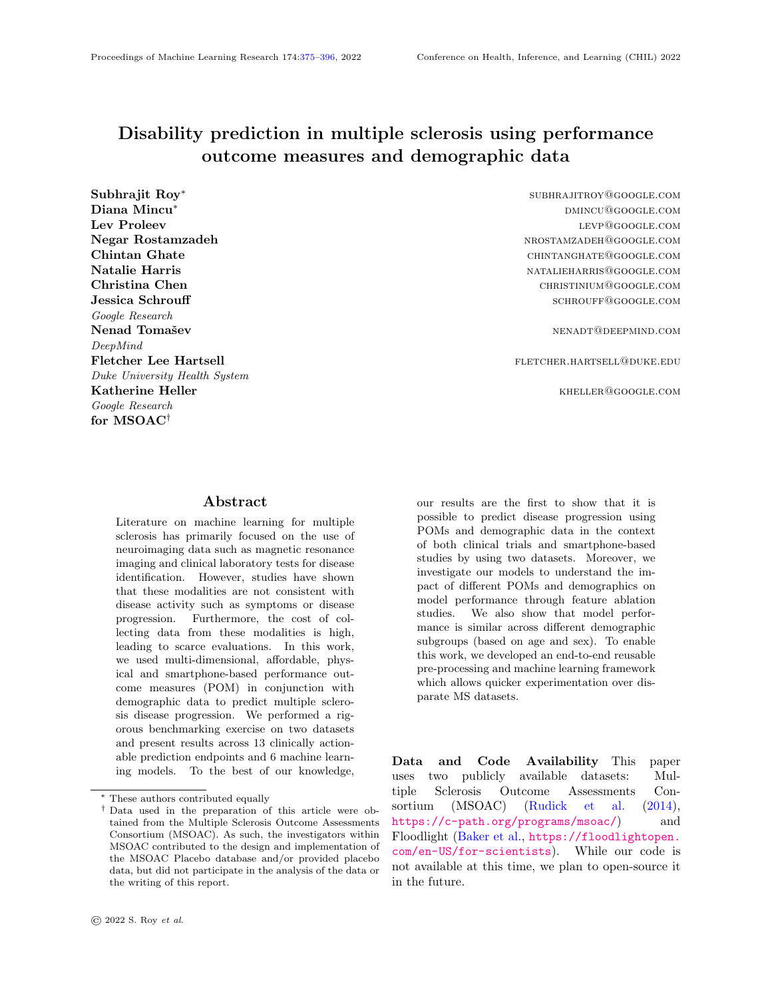a given time bucket. For MSOAC we use buck-3. Experiments and results ets of 1 month from the start of the study, while for Floodlight we use 1 week intervals from the time the subject joined the app. Based on gure  $2$ we see that in MSOAC functional tests (Nine Hole Peg Test (NHPT), Timed 25-Foot Walk (T25FW), Paced Auditory Serial Addition Test (PASAT), Symbol Digit Modalities Test (SDMT)) have a much higher count than questionnaires (Kurtzke Functional Systems Scores (KFSS), RAND-36 Item Health Survey (RAND-36), 12-Item Short Form Survey (SF-12), Beck Depression Inventory (BDI)) and are present until much later in the study as well. For Floodlight (Appendix  $B$ , Figure A5) we observe a similar downlar manner. This can be explained by the simplicity a patient or actively intervening. of the questionnaires in this dataset, since only one Performance on EDSS-derived labels: Table 2 mood related question is available.

by 0 in the case of numerical features, or empty string mean and standard deviation of the metrics across for text-based features.

#### 2.5. Models

For benchmarking purposes, we choose a few popular baseline models from Scikit-Learn (Logistic Regression, Linear Regression, Gradient Boosted Classier, Gradient Boosted Regressor), a non-sequential (Multi-layer Perceptron), and a sequential deep neural network (Temporal Convolutional Neural Networks (TCN) (Bai et al., 2018).

For predictions, the models use information across a specied window before the prediction timepoint. While for Scikit-Learn models information is aggregated across the window by taking the mean, TCN temporal information.

(AU PRC) for the classication tasks since most prediction problems are imbalanced (see Appendix E, endpoints are zero-in ated (see Appendix E, Table Table 9) and R-MSE for regression tasks. We perform A9) and we intend to explore zero-in ated versions of mean and standard deviation of AU PRC / R-MSE. For TCN we use the Adam optimizer (Kingma and that the inclusion of multiple families of models alfor each model to nd the optimal hyperparameters, or task. Performance on the Floodlight dataset reand the search space is reported in Appendix C.

3.1. Performance on the full feature set

#### 3.1.1. MSOAC

ward trend as time progresses, but in this case the preventative action (Schlaeger et al., 2012). This is functional tests and questionnaires behave in a simi- possible even when clinicians may not be monitoring Illustrative example: Figure 3 shows an example usage of our predictive models for the MSOAC dataset. The model is trained to predict whether the patient will transition to a state of moderate disability in the next 0-6 months and 6-12 months interval. Updated risk estimates of future disease worsening are made for every clinic visit throughout the course of the clinical study. Identifying an increased risk of decline su ciently well in advance can enable early

Missing values at various timestamps were replaced 2.3.1.1) derived from EDSS scores. We show the summarizes model performance on the labels (see Sec. dierent folds. We observe that TCN consistently outperforms other ML algorithms by achieving superior performance in all regression and classication tasks. We also see that although the dataset is composed of data from 9 dierent clinical trials, the models still manage to learn meaningful representations, as demonstrated by the results. For MSOAC, we observe a general trend that, as the prediction interval slides into the future, the tasks progressively get more dicult, leading to a reduction in model performance. This phenomenon has also been shown in other sequential healthcare prediction problems (Tomasev et al., 2021; Nestor et al., 2019).

#### 3.1.2. Floodlight

processes them sequentially and hence retains the on the Floodlight dataset (see Sec. 2.3.2.1). For We report the area under the precision-recall curve sor outperforms the other models in all 12 tasks. We 10-fold cross-validation for each model and report the the models in future. The standard deviations show Ba, 2015). We performed a hyperparameter search lows us to explore and nd the best model per dataset Performance on disability scores: Table 3 reports model performance on disability scores de ned Floodlight, we observe that Gradient Boosted Regresbelieve that this is due to the fact that Floodlight that the obtained results have tight bounds. Note mains relatively similar across dierent time hori-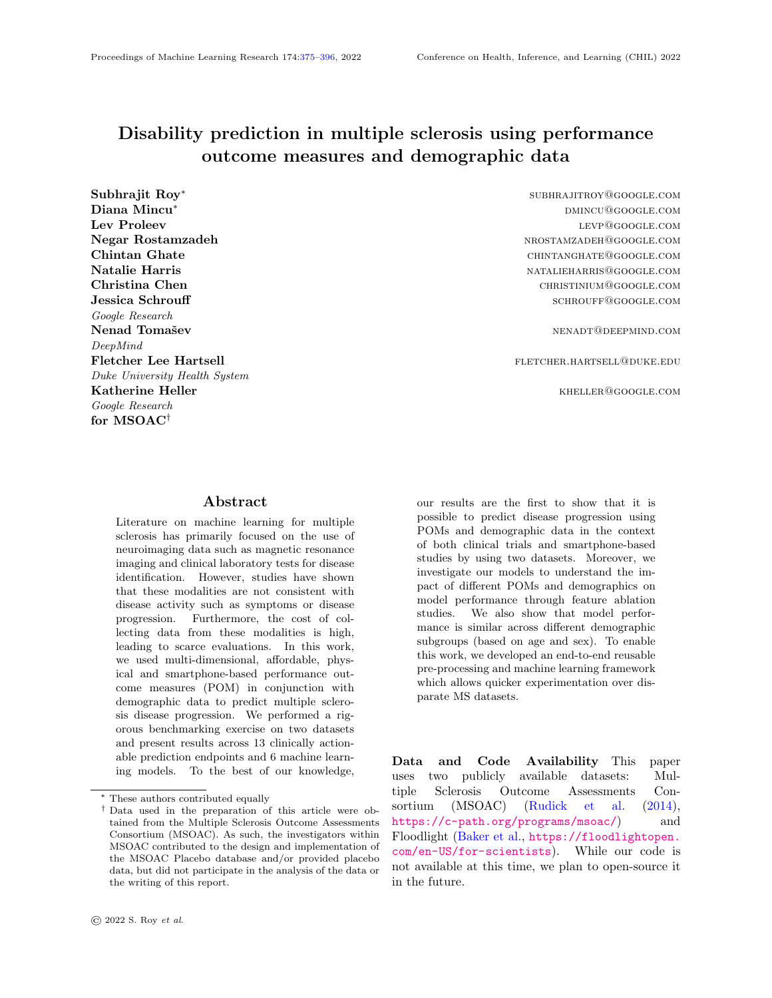Figure 3: Illustrative example of the trained model successfully predicting that a female subject of age 29 is going to have moderate disability ( $EDSS_{mean} > 3$ ) in the (b) 0-6 and (c) 6-12 months horizon.

zons, potentially since these are not as further out TCN, since TCN outperforms all other models for the as MSOAC. Performance on smartphone-based MS diagnosis: We summarize the results of diagnosing MS in ance (92.86{98.27%), and hence we use both crossthis dataset (see Sec. 2.3.2.2) using smartphone-based entropy loss and focal loss (popular for imbalanced tests in Figure 4. The results demonstrate that over- datasets) (Lin et al., 2018) during training. The latall TCN achieves the best performance across variouster provides a much better performance for this task, values ofN (number of tests) and shows 71.67% accu-with an average AU PRC improvement of 10.27%. racy at N = 100 (approximately 1.5 weeks of app us-The mean and standard deviation of AU PRC are age). Moreover, while for all models the performance reported in Table 4. Note that we also explored foimproves asN increases, the improvement is highest cal loss for the classication labels listed in Table 2, for TCN (8.89% increase fromN=5 to N=100) and however there was no observable improvement, polowest for Logistic Regression (1.95% increase fromtentially since these endpoints do not show high im- $N = 5$  to  $N = 100$ ). previous endpoints (see Table 2). We observe that the disability progression tasks have a high class imbalbalance.

#### 3.1.3. Cross-dataset

Performance on disability progression labels: Floodlight dataset. For MSOAC we focus only on be considered in the future.

Next we look at the disability progression labels de-bucketing of measurements, which leads to a label scribed in Sec. 2.3.3.1 for both the MSOAC and prevalence lower than 0.01%. Weekly bucketing could While results are promising on MSOAC, the models were not able to obtain signicant results using Floodlight. This result might be due to the daily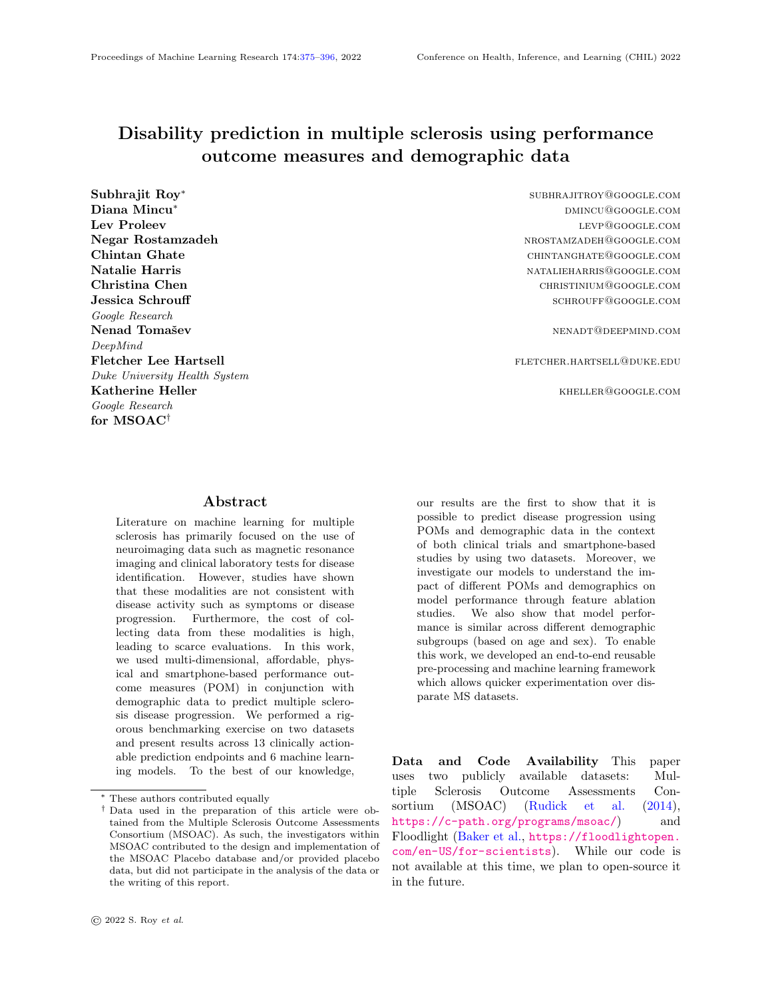| Dataset      | Prediction<br>tasks                           | Prediction<br>Window | Metric         | Logistic<br>Regression | Linear<br>Regression     | <b>MLP</b>   | Gradient<br><b>Boosted</b><br>Classi er | Gradient<br><b>Boosted</b><br>Regressor | <b>TCN</b>    |
|--------------|-----------------------------------------------|----------------------|----------------|------------------------|--------------------------|--------------|-----------------------------------------|-----------------------------------------|---------------|
| <b>MSOAC</b> | $EDSS_{mean}$                                 | $0 - 6$ mo           | R-MSE          | $\blacksquare$         | $1.929(0.098)$ -         |              |                                         | 1.700(0.045)                            | 1.264(0.055)  |
|              |                                               | $6 - 12 \text{ mo}$  |                | $\blacksquare$         | $2.114(0.111)$ -         |              | $\overline{\phantom{a}}$                | 1.901(0.057)                            | 1.650 (0.067) |
|              |                                               | 12 - 18 mo           |                | $\blacksquare$         | $2.186(0.115)$ .         |              | $\overline{\phantom{a}}$                | 1.892(0.065)                            | 1.725(0.074)  |
|              |                                               | $18 - 24 \text{ mo}$ |                | $\blacksquare$         | 2.068(0.133)             | $\sim$       | $\overline{\phantom{a}}$                | 1.748 (0.062)                           | 1.666(0.128)  |
|              | $EDSS_{mean}$<br>> 3 (Moderate<br>disability) | $0 - 6$ mo           | AU PRC         | 0.803(0.012)           |                          | 0.826(0.015) | 0.843(0.017)                            | $\blacksquare$                          | 0.909(0.014)  |
|              |                                               | $6 - 12 \text{ mo}$  |                | 0.707(0.014)           | $\blacksquare$           | 0.731(0.019) | 0.756(0.019)                            | $\blacksquare$                          | 0.82(0.027)   |
|              |                                               | $12 - 18$ mo         |                | 0.605(0.025)           |                          | 0.664(0.036) | 0.706(0.027)                            |                                         | 0.768(0.031)  |
|              |                                               | $18 - 24$ mo         |                | 0.502(0.036)           |                          | 0.594(0.038) | 0.641(0.038)                            | $\overline{\phantom{a}}$                | 0.703(0.038)  |
|              | $EDSS_{mean}$<br>> 5 (Severe<br>disability)   | $0 - 6$ mo           | AU PRC         | 0.695(0.026)           | $\overline{\phantom{a}}$ | 0.727(0.026) | 0.785(0.025)                            | $\blacksquare$                          | 0.848(0.035)  |
|              |                                               | $6 - 12 \text{ mo}$  |                | 0.576(0.028)           | $\blacksquare$           | 0.597(0.027) | 0.676(0.032)                            | $\blacksquare$                          | 0.722(0.039)  |
|              |                                               | $12 - 18$ mo         |                | 0.457(0.035)           | ÷.                       | 0.504(0.032) | $\overline{0.594}$ (0.034)              | $\blacksquare$                          | 0.669(0.037)  |
|              |                                               | 18 - 24 mo           |                | 0.362(0.042)           | ٠                        | 0.421(0.047) | 0.536(0.054)                            | $\blacksquare$                          | 0.632(0.037)  |
|              | $EDSS_{mean}$<br>as severity<br>category      | $0 - 6$ mo           | Avg.<br>AU PRC | 0.523(0.015)           |                          | 0.687(0.01)  | 0.717(0.015)                            | $\blacksquare$                          | 0.782(0.028)  |
|              |                                               | $6 - 12 \text{ mo}$  |                | 0.47(0.015)            | ٠                        | 0.633(0.018) | 0.675(0.016)                            | $\blacksquare$                          | 0.709(0.044)  |
|              |                                               | 12 - 18 mo           |                | 0.434(0.017)           |                          | 0.606(0.012) | 0.649(0.019)                            | $\blacksquare$                          | 0.674(0.037)  |
|              |                                               | 18 - 24 mo           |                | 0.413(0.017)           |                          | 0.575(0.02)  | 0.625(0.02)                             |                                         | 0.632(0.037)  |

Table 2: Performance (and standard deviation) obtained by machine learning models on a diverse set of prediction tasks for the MSOAC dataset. Best performance is reported in bold.

tionnaires, functional tests, and all POMs (questionnaires + functional tests).

The results are presented in Table 5. Due to space constraints, we choose a single prediction horizon per dataset (6-12 months for MSOAC and 1-2 weeks for Floodlight), for all the tasks considered in Tables 2 and 3. While in Table 5 we show the results for only the top performing model per dataset (TCN for MSOAC and Gradient Booster Regressor for Floodlight), results for all models are reported in Table A10 (Appendix). The trends obtained for the top performing models are consistent across other models as well.

Figure 4: Comparison of model performance for di- feature set. In line with expectations, the full feature For MSOAC, the results depict that the feature groups are of following importance: demographics questionnaires< functional tests < all POMs < full set containing both POMs and demographic features produces the best performance. Demographics (static features) impact model performance the least, and are outperformed by functional tests and questionnaires (dynamic/temporal features). Between functional tests and questionnaires, we observe that the former outperforms the latter. We believe the rea-

agnosing MS on Floodlight (smartphonebased dataset).

## 3.2. Feature ablation

To assess the signal related to disease progression inson is evident from Figure 2 which shows that the each feature group, we perform di erent feature abla- questionnaires are orders of magnitude sparser than tion experiments. For both MSOAC and Floodlight functional tests thereby leading to less signal for the we choose the following groups: demographics, ques-ML models.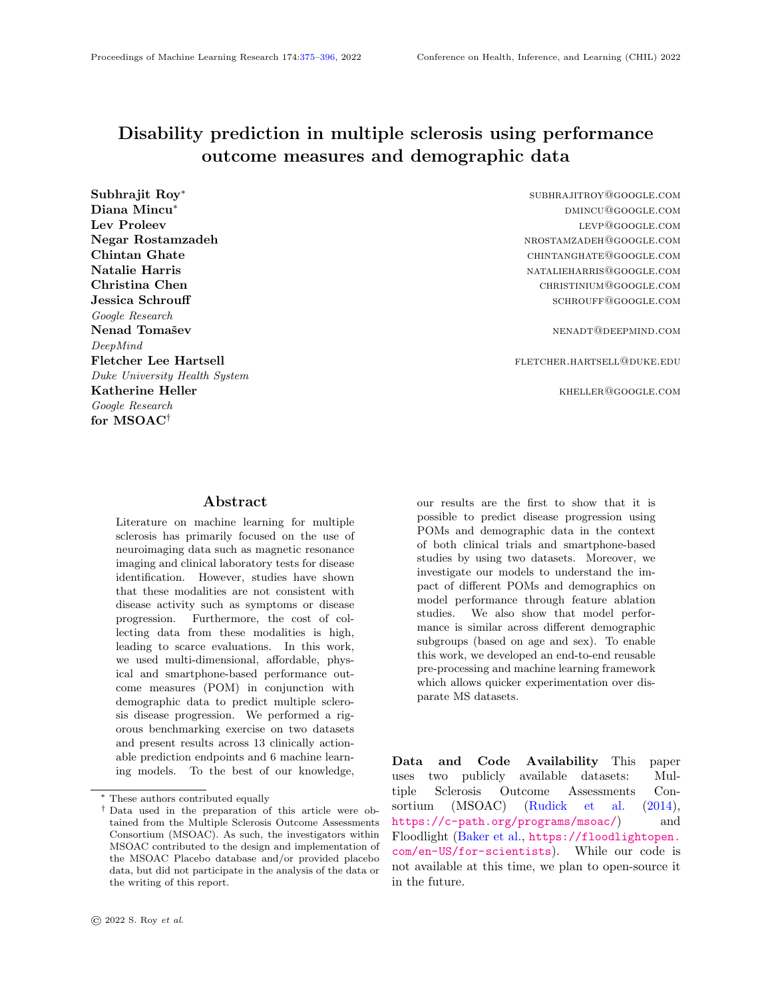| Dataset    | Prediction<br>tasks | Prediction<br>Window | Metric | Linear<br>Regression | Gradient<br><b>Boosted</b><br>Regressor | <b>TCN</b>   |
|------------|---------------------|----------------------|--------|----------------------|-----------------------------------------|--------------|
|            | Cognitive           |                      |        |                      |                                         |              |
| Floodlight | disability          | $0 - 1$ wk           | R-MSE  | 0.275(0.015)         | 0.262(0.016)                            | 0.313(0.018) |
|            | score               |                      |        |                      |                                         |              |
|            |                     | $1 - 2$ wks          |        | 0.285(0.015)         | 0.275(0.014)                            | 0.337(0.025) |
|            |                     | $2 - 4$ wks          |        | 0.286(0.014)         | 0.279(0.013)                            | 0.353(0.023) |
|            | Dexterity           |                      |        |                      |                                         |              |
|            | disability          | $0 - 1$ wk           | R-MSE  | 0.152(0.011)         | 0.146(0.012)                            | 0.162(0.018) |
|            | score               |                      |        |                      |                                         |              |
|            |                     | $1 - 2$ wks          |        | 0.153(0.012)         | 0.148(0.012)                            | 0.171(0.022) |
|            |                     | $2 - 4$ wks          |        | 0.152(0.011)         | 0.149(0.011)                            | 0.178(0.019) |
|            | Mobility            |                      |        |                      |                                         |              |
|            | disability          | $0 - 1$ wk           | R-MSE  | 0.244(0.017)         | 0.226(0.018)                            | 0.283(0.021) |
|            | score               |                      |        |                      |                                         |              |
|            |                     | $1 - 2$ wks          |        | 0.256(0.018)         | 0.244(0.021)                            | 0.313(0.026) |
|            |                     | 2 - 4 wks            |        | 0.26(0.017)          | 0.249(0.019)                            | 0.328(0.027) |
|            | Overall             |                      |        |                      |                                         |              |
|            | disability          | $0 - 1$ wk           | R-MSE  | 0.192(0.012)         | 0.18(0.013)                             | 0.225(0.019) |
|            | score               |                      |        |                      |                                         |              |
|            |                     | $1 - 2$ wks          |        | 0.206(0.012)         | 0.197(0.013)                            | 0.246(0.017) |
|            |                     | 2 - 4 wks            |        | 0.209(0.011)         | 0.209(0.011)                            | 0.265(0.019) |

Table 3: Performance (and standard deviation) obtained by machine learning models on a diverse set of prediction tasks for the Floodlight dataset. Best results are reported in bold.

Table 4: Performance (and standard deviation) of TCN on functional test speci c disability dataset.

| Functional<br>test | Prediction<br>horizon | Loss type             |              |  |  |  |
|--------------------|-----------------------|-----------------------|--------------|--|--|--|
|                    |                       | Cross-entropy<br>loss | Focal loss   |  |  |  |
| <b>NHPT</b>        | $0-6$ mo              | 0.406(0.030)          | 0.583(0.142) |  |  |  |
|                    | $6-12$ mo             | 0.396(0.021)          | 0.534(0.171) |  |  |  |
| <b>PASAT</b>       | $0-6$ mo              | 0.476(0.016)          | 0.533(0.172) |  |  |  |
|                    | $6-12$ mo             | 0.482(0.012)          | 0.567(0.161) |  |  |  |
| <b>SDMT</b>        | $0-6$ mo              | 0.471(0.058)          | 0.522(0.112) |  |  |  |
|                    | 6-12 mo               | 0.534(0.084)          | 0.535(0.158) |  |  |  |
| T <sub>25</sub> FW | $0-6$ mo              | 0.422(0.017)          | 0.558(0.147) |  |  |  |
|                    | $6-12$ mo             | 0.423(0.015)          | 0.600(0.053) |  |  |  |

For Floodlight, the order of importance of feature groups is as follows: questionnaires< demographics < functional tests < all POMs < full feature set. Compared to MSOAC, the importance of questionnaires and demographics have 
ipped. This result is expected for Floodlight since it contains only

#### 3.3. Subgroup results

progression labels de ned on the MSOAC group analysis enables researchers and clinicians to Apart from performance on the entire dataset, subunderstand where models fall short.

> For both datasets we look at the sex and agebucketed subgroups. Given that MS is a disease that tends to aect more women than men, we assess potential discrepancies in model performance between males and females. Strati cation on age is also a relevant evaluation, as MS is a long-term condition and younger patients typically have a less severe form of the disease. As the disease progresses, it can evolve from relapse-remitting to a progressive state (Meca-Lallana et al., 2021), which is often accompanied by an increase in symptom severity. Our age buckets were chosen based on expert input on what would be most clinically useful.

Table A11 (Appendix) contains the results on 3 predictions tasks for MSOAC, for the 6-12 month horizon on all models. We only report results where the subgroup was known, as this information is not present for all patients.

one questionnaire feature (Mood Response) unlike els tend to have a similar, and sometimes identical MSOAC consisting of multiple questionnaire features. performance (AU PRC), across all folds. Age on the We see that for both males and females the mod-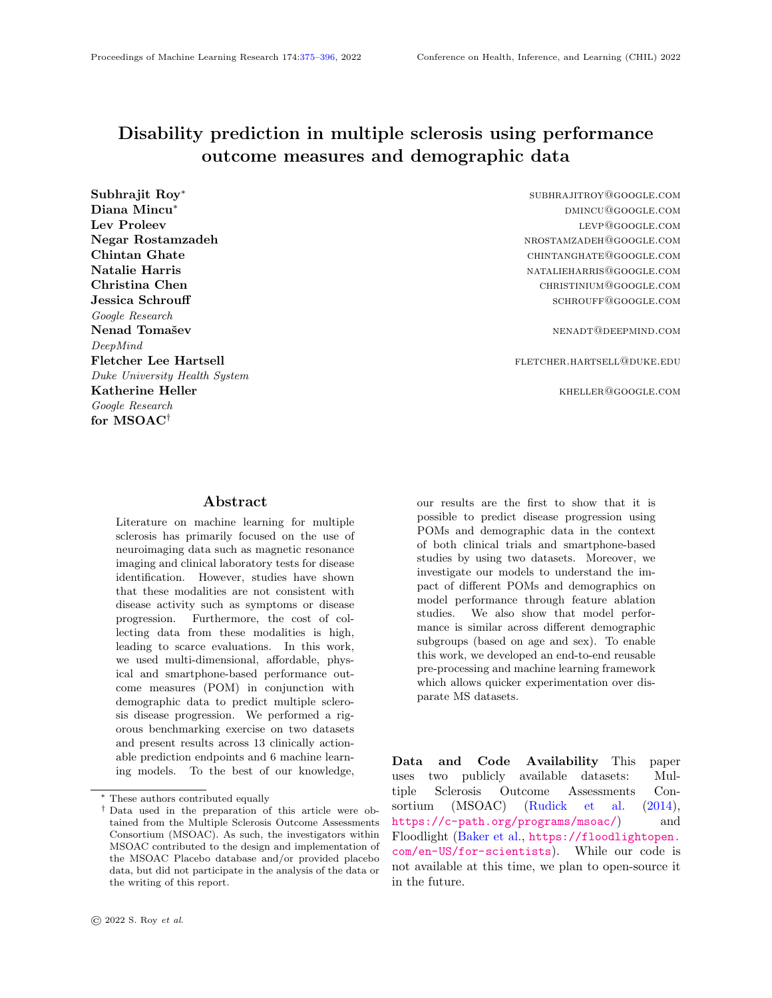Table 5: Summary of feature ablation studies on MSOAC and Floodlight for 6-12 months and 1-2 weeks horizon respectively for the best performing models from Table 2 and 3 respectively. For MSOAC, will EDSS<sub>mean</sub> reports R-MSE (lower better), all other labels report AU PRC (higher better). For Floodlight, R-MSE is reported for all labels.

| Dataset      | Prediction<br>tasks                        | <b>Feature Groups</b> |                     |                |                                    |                  |  |
|--------------|--------------------------------------------|-----------------------|---------------------|----------------|------------------------------------|------------------|--|
|              |                                            | Demographics          | Functional<br>Tests | Questionnaires | Performance<br>Outcome<br>Measures | Full feature set |  |
| <b>MSOAC</b> | $EDSS_{mean}$                              | 1.957 (0.051)         | 1.777 (0.091)       | 1.860 (0.049)  | 1.676(0.077)                       | 1.650 (0.067)    |  |
|              | $EDSS_{mean} > 3$<br>(Moderate disability) | 0.678(0.019)          | 0.766(0.025)        | 0.789(0.020)   | 0.816(0.037)                       | 0.820(0.027)     |  |
|              | $EDSS_{mean} > 5$                          |                       |                     |                |                                    |                  |  |
|              | (Severe disability)                        | 0.456(0.028)          | 0.665(0.036)        | 0.608(0.037)   | 0.691(0.034)                       | 0.722(0.039)     |  |
|              | $EDSS_{mean}$ as severity<br>category      | 0.520(0.011)          | 0.672(0.086)        | 0.659(0.016)   | 0.686(0.042)                       | 0.709(0.044)     |  |
|              | Cognitive                                  |                       |                     |                |                                    |                  |  |
| Floodlight   | disability score                           | 0.306(0.017)          | 0.286(0.012)        | 0.416(0.037)   | 0.283(0.014)                       | 0.275(0.014)     |  |
|              | Dexterity<br>disability score              | 0.159(0.014)          | 0.153(0.012)        | 0.198(0.021)   | 0.152(0.012)                       | 0.148(0.012)     |  |
|              | <b>Mobility</b>                            |                       |                     |                |                                    |                  |  |
|              | disability score                           | 0.278(0.018)          | 0.249(0.017)        | 0.381(0.031)   | 0.248(0.019)                       | 0.244(0.021)     |  |
|              | Overall<br>disability score                | 0.220(0.012)          | 0.206(0.012)        | 0.308(0.034)   | 0.205(0.013)                       | 0.197(0.013)     |  |

other hand sees a discrepancy when it comes to the Cerqueira et al., 2018). Smartphone-based monitorvarious subgroups, with people aged under 30 seeinging can also enable early diagnosis of MS.

the biggest decrease in AU PRC. For people aged 50- 70 we see that performance is either on par (EDSS tant role in the prediction of longer term disability, > 3, EDSS > 5) or slightly lower (EDSS as severity category) to that on the full dataset. This is surprising, as the overall composition of MSOAC is relapseremitting patients and we would expect people in this age group to have a more stable form of the disease. We note that evaluation for patients aged 70 or older is not informative given the low number of cases (n=11) in this group. A distribution of label values based on age can be found in Appendix E.

## 4. Discussion and future work

In this paper, we show for the rst time that it is possible to predict disease progression in MS using ing for both a clinical trial and smartphone-based dataset. Early prediction of disability in both set-

Temporal patterns of POMs seem to play an imporas shown by the better performance of TCN in all tasks in the MSOAC dataset. Similarly, results on Floodlight display that short-term patterns (a couple of weeks) also carry predictive power. These results suggest that the continuous evaluation of POMs is a promising avenue for the monitoring and early detection of disease progression of MS patients. Both long- and short-term predictions are potentially clinically actionable since while the former may lead to individually-tailored disease-modifying therapies (Robertson and Moreo, 2016), the latter may prompt a clinician to prescribe medications to control symptoms (National MS Society, 2021).

POMs, demographic information, and machine learn-performance (according to AU PRC) when compared tings has the potential to support MS subjects and preliminary, questions the recording of demographic healthcare professionals, since the best course of acdata for predictive purposes. Future work could furtion is early diagnosis and symptom treatment. This ther investigate whether demographic data is indeed in turn can lead to a slower disease progression and benecial in terms of model performance and patient a better quality of life for a longer period of time outcome, considering the balance between data need While the full feature set leads to the highest model to feature ablations, we note that POMs without demographics perform on par. This result, although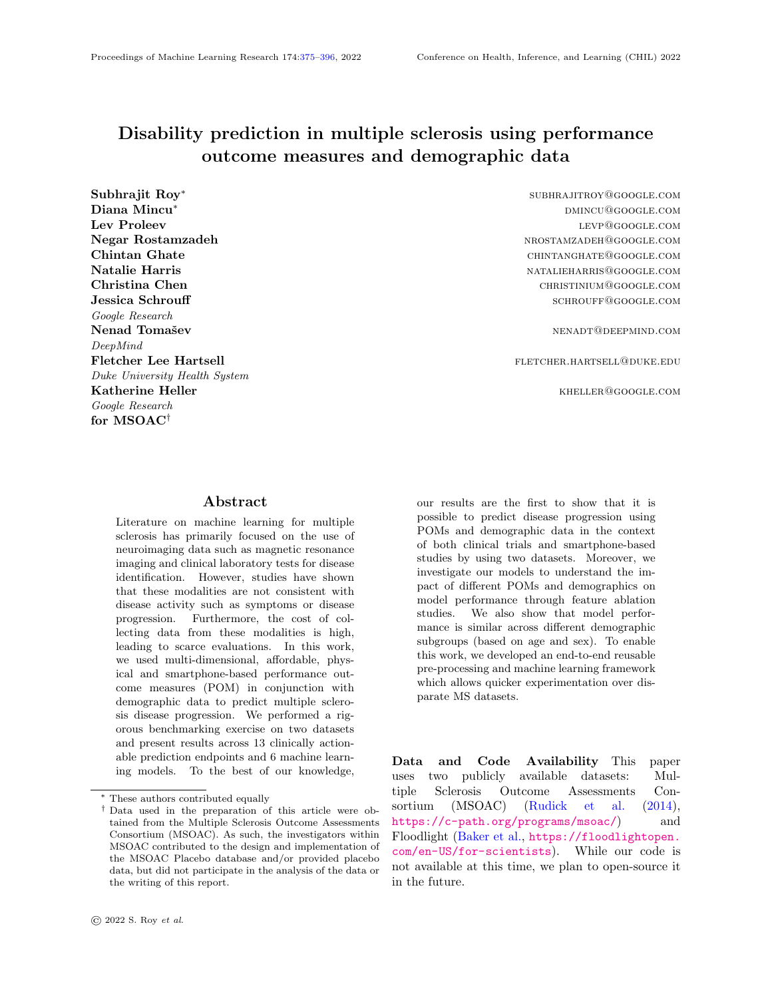and privacy. Moreover, the relatively higher sparsity of questionnaires compared to functional tests and its eventual impact in model performance points toward the need of collecting more user-friendly questionnaires, more reliably, and over a longer horizon.

The limitations of this study include (i) the disability scores de ned for Floodlight, while inspired from EDSS, are experimental and would require further clinical validation to ensure soundness and clinical relevance, and (ii) the disability progression labels  $(Sec. 2.3.3.1)$  did not lead to a well-de ned machine learning problem for the Floodlight dataset due to a high-frequency of short-term recordings.

The plans for future work for this study are multifold. First, we shall ingest more relevant features (e.g. medication, medical history), in addition to the current POMs and demographic data. Second, we O Ferrandez, V Ferrandez, T Arbizu, G Izquierdo, intend to explore di erent time-bucketing techniques for Floodlight to tackle the imbalance of disability progression labels and more closely relate to clinical actionability. Third, we intend to handle the irregularity of the features by continuous time modelling instead of missing-value imputation (Kidger et al., 2020). Fourth, we plan to further evaluate the robustness of our models, especially across longer time horizons. Fifth, we intend to create a large-scale Masoud Ghiasian, Mohammad Faryadras, Maryam multi-site smartphone-based MS dataset for further evaluation and potential deployment of the developed models. As discussed in Sec. 3.3, we lack data in specic patient subgroups. Targeted data acquisition in e.g. patients over 70 could be considered for model evaluation, and potentially for model training.

## Institutional Review Board (IRB)

Our research does not require IRB approval, since the datasets are publicly available.

## Acknowledgments

We would like to thank the Multiple Sclerosis Outcome Assessments Consortium and Genentech for making the two multiple sclerosis datasets publicly available for research.

## References

Shaojie Bai, J. Zico Kolter, and Vladlen Koltun. An empirical evaluation of generic convolutional and recurrent networks for sequence modeling, 2018.

Mike Baker, Johan van Beek, and Christian Gossens. Digital health: Smartphone-based monitoring of multiple sclerosis using Floodlight. Nature Portfolio. URL https://www.nature.com/articles/ d42473-019-00412-0.

Joao J Cerqueira, D Alastair S Compston, Ruth Geraldes, Mario M Rosa, Klaus Schmierer, Alan Thompson, Michela Tinelli, and Jacqueline Palace. Time matters in multiple sclerosis: can early treatment and long-term follow-up ensure everyone benets from the latest advances in multiple sclerosis? Journal of Neurology, Neurosurgery & Psychiatry, 89(8):844{850, 2018. ISSN 0022-3050. doi: 10.1136/jnnp-2017-317509. URLhttps://jnnp. bmj.com/content/89/8/844 .

I Bosca, R Arroyo, J A Garca Merino, E de Ramon, and The Novo Group. Characteristics of multiple sclerosis at onset and delay of diagnosis and treatment in Spain (The Novo Study). Journal of Neurology, 257(9):1500{1507, 2010. ISSN 1432-1459. doi: 10.1007/s00415-010-5560-1. URL https://doi.org/10.1007/s00415-010-5560-1 .

Mansour, Elham Khanlarzadeh, and Shahir Mazaheri. Assessment of delayed diagnosis and treatment in multiple sclerosis patients during 1990{2016. Acta Neurologica Belgica, 121(1):199{ 204, 2021. ISSN 2240-2993. doi: 10.1007/ s13760-020-01528-7. URIhttps://doi.org/10. 1007/s13760-020-01528-7 .

Myla D Goldman, Nicholas G LaRocca, Richard A Rudick, Lynn D Hudson, Peter S Chin, Gordon S Francis, Adam Jacobs, Raj Kapoor, Paul M Matthews, Ellen M Mowry, Laura J Balcer, Michael Panzara, Glenn Phillips, Bernard M J Uitdehaag, Jerey A Cohen, and on behalf of the Multiple Sclerosis Outcome Assessments Consortium. Evaluation of multiple sclerosis disability outcome measures using pooled clinical trial data. Neurology, 93(21):e1921|-e1931, 2019. ISSN 0028-3878. doi: 10.1212/WNL. 0000000000008519. URLhttps://n.neurology. org/content/93/21/e1921 .

Daniel Golovin, Benjamin Solnik, Subhodeep Moitra, Greg Kochanski, John Elliot Karro, and D. Sculley, editors. Google Vizier: A Service for Black-Box Optimization, 2017. URL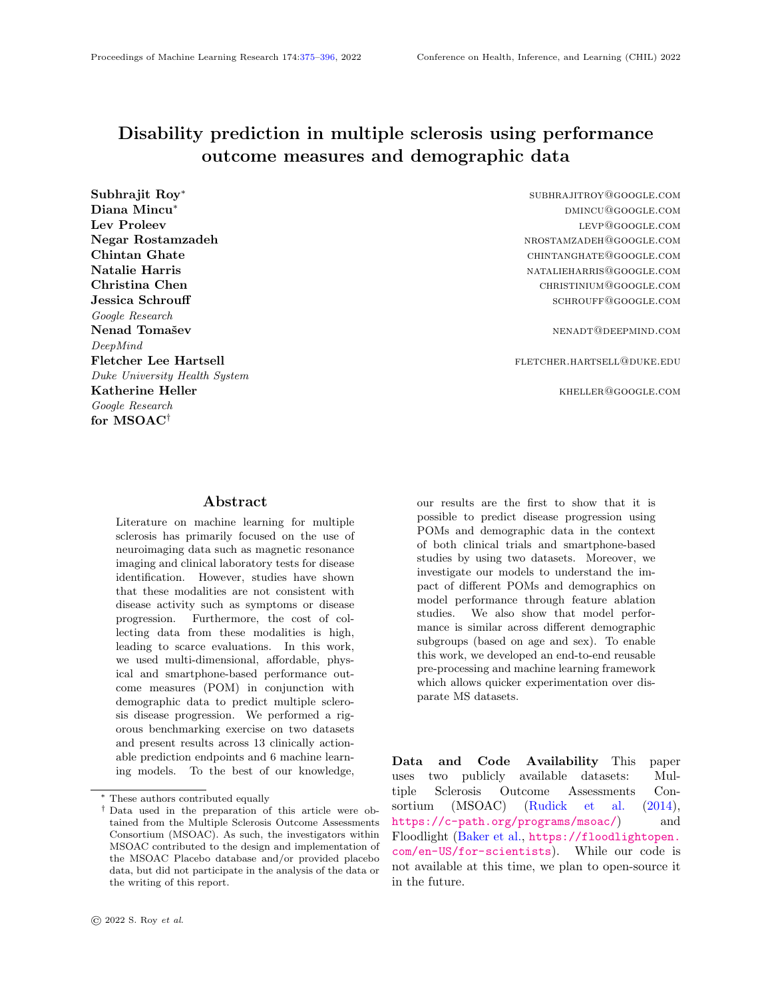http://www.kdd.org/kdd2017/papers/view/ google-vizier-a-service-for-black-box-optimization .

- Patrick Kidger, James Morrill, James Foster, and Terry Lyons. Neural controlled di erential equations for irregular time series, 2020.
- Diederik P. Kingma and Jimmy Lei Ba. Adam: A method for stochastic optimization. 3rd International Conference on Learning Representations, ICLR 2015 - Conference Track Proceedings pages 1{15, 2015.
- John F Kurtzke. Rating neurologic impairment in multiple sclerosis. Neurology, 33(11):1444, 1983a. ISSN 0028-3878. doi: 10.1212/WNL.33.11. 1444. URL https://n.neurology.org/content/ 33/11/1444 .
- John F Kurtzke. Rating neurologic impairment in multiple sclerosis. Neurology, 33(11):1444, 1983b. ISSN 0028-3878. doi: 10.1212/WNL.33.11. 1444. URL https://n.neurology.org/content/ 33/11/1444 .
- Nicholas G LaRocca, Lynn D Hudson, Richard Rudick, Dagmar Amtmann, Laura Balcer, Ralph Benedict, Robert Bermel, Ih Chang, Nancy D Chiaravalloti, Peter Chin, Jerey A Cohen, Gary R Cutter, Mat D Davis, John DeLuca, Peter Feys, Gordon Francis, Myla D Goldman, Emily Hartley, Raj Kapoor, Fred Lublin, Gary Lundstrom, Paul M Matthews, Nancy Mayo, Richard Meibach, Deborah M Miller, Robert W Motl, Ellen M Mowry, Rob Naismith, Jon Neville, Jennifer Panagoulias, Michael Panzara, Glenn Phillips, Ann Robbins, Matthew F Sidovar, Kathryn E Smith, Bjorn Sperling, Bernard M J Uitdehaag, Jerry Weaver, and for the Multiple Sclerosis Outcome Assessments Consortium (MSOAC). The MSOAC approach to developing performance outcomes to measure and monitor multiple sclerosis disability. Multiple Sclerosis Journal, 24(11):1469{1484, 2018. doi: 10.1177/1352458517723718. https://doi.org/10.1177/1352458517723718 .
- Marco T K Law, Anthony L Traboulsee, David K B Li, Robert L Carruthers, Mark S Freedman, Shannon H Kolind, and Roger Tam. Machine learning in secondary progressive multiple sclerosis: an improved predictive model for shortterm disability progression. Multiple Sclerosis Journal - Experimental, Translational and Clinical, 5(4):2055217319885983, 2019. doi: 10.1177/ e24773, Jan 2021. ISSN 1438-8871. doi: 10.

2055217319885983. URLhttps://doi.org/10. 1177/2055217319885983.

- Tsung-Yi Lin, Priya Goyal, Ross Girshick, Kaiming He, and Piotr Dolar. Focal loss for dense object detection. 2018.
- Virginia Meca-Lallana, Leticia Berenguer-Ruiz, Joan Carreres-Polo, Sara Eichau-Madueno, Jaime Ferrer-Lozano, Luca Forero, Yolanda Higueras, Nieves Tellez Lara, Angela Vidal-Jordana, and Francisco Carlos Perez-Miralles. Deciphering multiple sclerosis progression.Frontiers in Neurology, 12, 2021. ISSN 1664-2295. doi: 10.3389/fneur. 2021.608491. URLhttps://www.frontiersin. org/article/10.3389/fneur.2021.608491 .
- Sandra Meyer-Moock, You-Shan Feng, Mathias Maeurer, Franz-Werner Dippel, and Thomas Kohlmann. Systematic literature review and validity evaluation of the Expanded Disability Status Scale (EDSS) and the Multiple Sclerosis Functional Composite (MSFC) in patients with multiple sclerosis. BMC Neurology, 14(1):58, 2014. ISSN 1471-2377. doi: 10.1186/1471-2377-14-58. URL https://doi.org/10.1186/1471-2377-14-58 .
- J. R. Miller. The importance of early diagnosis of multiple sclerosis. J Manag Care Pharm, 10(3 Suppl B):4{11, Jun 2004.
- National MS Society. Symptom management, 2021. URL https://www.nationalmssociety. org/For-Professionals/Clinical-Care/ Managing-MS/Symptom-Management .
- Bret Nestor, Matthew McDermott, Willie Boag, Gabriela Berner, Tristan Naumann, Michael Hughes, Anna Goldenberg, and Marzyeh Ghassemi. Feature robustness in non-stationary health records: Caveats to deployable model performance in common clinical machine learning tasks, 08 2019.

v<sub>+</sub>, Chathurangi H Pathiravasan, Yuankai Zhang, Ludovic Trinquart, Emelia J Benjamin, Belinda Borrelli, David D McManus, Vik Kheterpal, Honghuang Lin, Mayank Sardana, Michael M Hammond, Nicole L Spartano, Amy L Dunn, Eric Schramm, Christopher Nowak, Emily S Manders, Hongshan Liu, Jelena Kornej, Chunyu Liu, and Joanne M Murabito. Adherence of mobile appbased surveys and comparison with traditional surveys: ecohort study. J Med Internet Res, 23(1):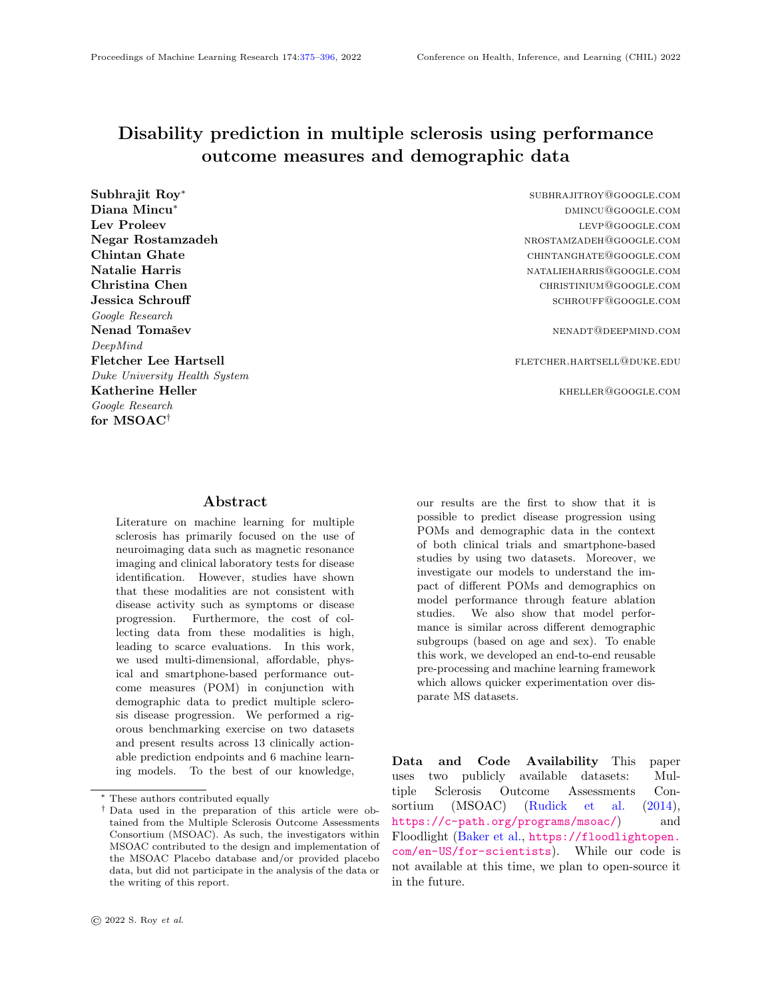2196/24773. URL http://www.jmir.org/2021/ 1/e24773/ .

- Marie-Camille Patoz, Diego Hidalgo-Mazzei, Bruno Pereira, Olivier Blanc, Ingrid de Chazeron, Andrea Murru, Norma Verdolini, Isabella Pacchiarotti, Eduard Vieta, Pierre-Michel Llorca, and Ludovic Samalin. Patients' adherence to smartphone apps in the management of bipolar disorder: a systematic review. International Journal of Bipolar Disorders, 9(1):19, 2021. ISSN 2194-7511. doi: 10.1186/s40345-021-00224-6. URhttps://doi. org/10.1186/s40345-021-00224-6 .
- Mauro F. Pinto, Hugo Oliveira, Sonia Batista, Lus Cruz, Mafalda Pinto, Inês Correia, Pedro Martins, and Cesar Teixeira. Prediction of disease progression and outcomes in multiple sclerosis with machine learning. Scientic Reports, 10 (1):1{13, 2020. ISSN 20452322. doi: 10.1038/ s41598-020-78212-6. URIhttps://doi.org/10. 1038/s41598-020-78212-6 .
- D. Robertson and N. Moreo. Disease-Modifying Therapies in Multiple Sclerosis: Overview and Treatment Considerations. Fed Pract, 33(6):28{34, Jun 2016.
- Juan Diego Rodriguez, Aritz Perez, David Arteta, Diego Tejedor, and Jose A. Lozano. Using multidimensional bayesian network classiers to assist the treatment of multiple sclerosis. IEEE Transactions on Systems, Man, and Cybernetics, Part C (Applications and Reviews) 42(6):1705{1715, 2012. doi: 10.1109/TSMCC.2012.2217326.
- R A Rudick, G Cutter, and S Reingold. The Multiple Sclerosis Functional Composite: a new clinical outcome measure for multiple sclerosis trials. Multiple Sclerosis Journal, 8(5):359{365, 2002. doi: 10.1191/1352458502ms845oa. URhttps: //doi.org/10.1191/1352458502ms845oa .
- Richard A Rudick, Nicholas LaRocca, Lynn D Hudson, and MSOAC. Multiple sclerosis outcome assessments consortium: Genesis and initial project plan. Multiple Sclerosis Journal, 20(1):12{17, 2014. doi: 10.1177/1352458513503392. URLhttps: //doi.org/10.1177/1352458513503392 . PMID: 24057430.
- las, E W Radue, L Kappos, and P Fuhr. Prediction of long-term disability in multiple sclero-

sis. Multiple Sclerosis Journal, 18(1):31{38, 2012. doi: 10.1177/1352458511416836. URhttps:// doi.org/10.1177/1352458511416836 .

- Patrick Schwab and Walter Karlen. A deep learning approach to diagnosing multiple sclerosis from smartphone data. CoRR, abs/2001.09748, 2020. URL https://arxiv.org/abs/2001.09748 .
- Patrick Schwab and Walter Karlen. A deep learning approach to diagnosing multiple sclerosis from smartphone data. IEEE Journal of Biomedical and Health Informatics, 25(4):1284{1291, Apr 2021. ISSN 2168-2208. doi: 10.1109/jbhi.2020. 3021143. URL http://dx.doi.org/10.1109/ JBHI.2020.3021143.
- Ruggiero Seccia, Daniele Gammelli, Fabio Dominici, Silvia Romano, Anna Chiara Landi, Marco Salvetti, Andrea Tacchella, Andrea Zaccaria, Andrea Crisanti, Francesca Grassi, and Laura Palagi. Considering patient clinical history impacts performance of machine learning models in predicting course of multiple sclerosis. PLOS ONE, 15(3): 1{18, 2020. doi: 10.1371/journal.pone.0230219. URL https://doi.org/10.1371/journal.pone. 0230219.
- The Multiple Sclerosis International Federation. Atlas of MS. 2020. URL https://www.msif.org/ resource/atlas-of-ms-2020/ . [Online; accessed 3-Sep-2020].
- Nenad Tomasev, Natalie Harris, Sebastien Baur, Anne Mottram, Xavier Glorot, Jack W Rae, Michal Zielinski, Harry Askham, Andre Saraiva, Valerio Magliulo, Clemens Meyer, Suman Ravuri, Ivan Protsyuk, Alistair Connell, Can O Hughes, Alan Karthikesalingam, Julien Cornebise, Hugh Montgomery, Geraint Rees, Chris Laing, Clifton R Baker, Thomas F Osborne, Ruth Reeves, Demis Hassabis, Dominic King, Mustafa Suleyman, Trevor Back, Christopher Nielson, Martin G Seneviratne, Joseph R Ledsam, and Shakir Mohamed. Use of deep learning to develop continuousrisk models for adverse event prediction from electronic health records. Nature Protocols, 16(6): 2765{2787, 2021. ISSN 1750-2799. doi: 10.1038/ s41596-021-00513-5. URIhttps://doi.org/10. 1038/s41596-021-00513-5 .
- R Schlaeger, M D'Souza, C Schindler, L Grize, S Del-Silvia Tommasin, Sirio Cocozza, Alessandro Taloni, Costanza Giann, Nikolaos Petsas, Giuseppe Pontillo, Maria Petracca, Serena Ruggieri, Laura De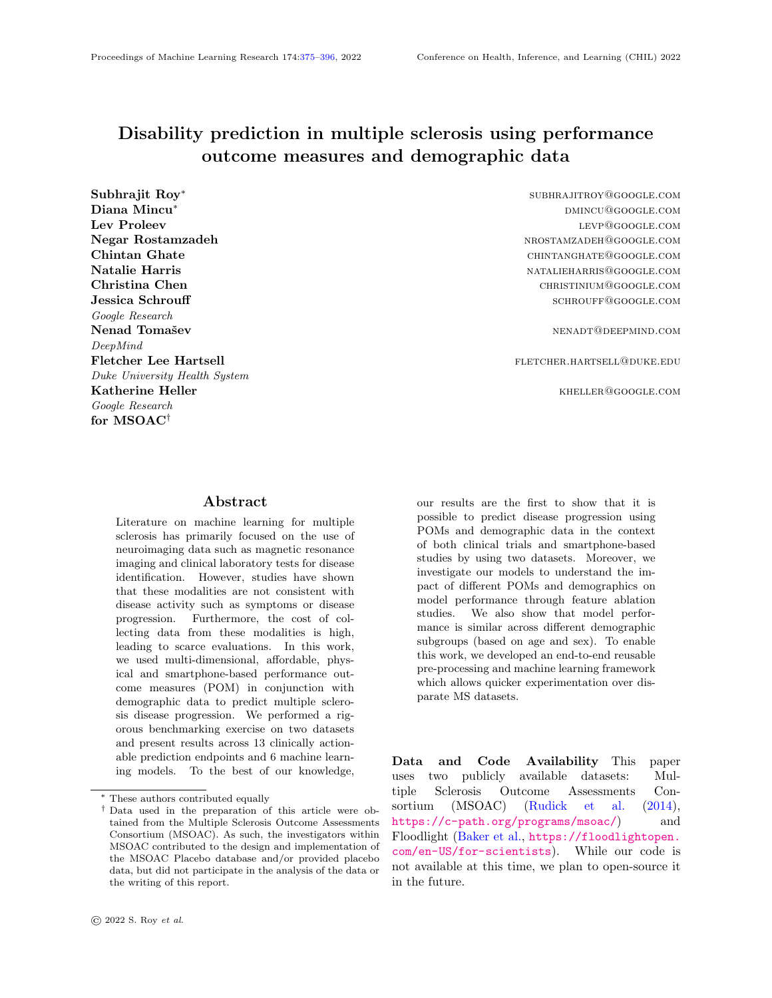Giglio, Carlo Pozzilli, Arturo Brunetti, and Patrizia Pantano. Machine learning classifier to identify clinical and radiological features relevant to disability progression in multiple sclerosis. Journal of Neurology, (0123456789), 2021. ISSN 14321459. doi: 10.1007/s00415-021-10605-7. URL https: //doi.org/10.1007/s00415-021-10605-7.

- Jonathan R. Walsh, Aaron M. Smith, Yannick Pouliot, David Li-Bland, Anton Loukianov, and Charles K. Fisher. Generating digital twins with multiple sclerosis using probabilistic neural networks, 2020.
- <span id="page-13-1"></span>JN Whitaker, HF McFarland, P Rudge, and SC Reingold. Outcomes assessment in multiple sclerosis clinical trials: a critical analysis. Multiple Sclerosis Journal, 1(1):37–47, 1995. doi: 10.1177/ 135245859500100107. URL https://doi.org/10. 1177/135245859500100107. PMID: 9345468.
- <span id="page-13-0"></span>Yijun Zhao, Brian C. Healy, Dalia Rotstein, Charles R.G. Guttmann, Rohit Bakshi, Howard L. Weiner, Carla E. Brodley, and Tanuja Chitnis. Exploration of machine learning techniques in predicting multiple sclerosis disease course. PLoS ONE, 12(4):1–13, 2017. ISSN 19326203. doi: 10.1371/journal.pone.0174866.

## Appendix A. Subject representation and MS dataset conversion

As described in Sec. 2.2, we convert the MS datasets into a common representation called Subject described in Table 6. The Subject representation allows us to map a diverse set of datasets into a common format consisting a pre-defined set of fields. This allows not only for an easier downstream processing of multiple datasets, but potentially joining multiple datasets into one.

The fields in Subject are chosen in a way that it stores all information relevant to MS datasets (both clinical and at-home), and to generalize to other healthcare datasets as well. The representation can also be expanded to include unique dataset-specific intricacies.

The Prediction format is described in Table [7,](#page-15-0) and while it's simplistic in its setup, it enables the downstream metrics pipeline development and cross-model comparisons. While in its current form it mainly focuses on time series (through the use of the timestamp field), we believe that it can be adapted to other types as well by simply ignoring the time value. We chose to store a series of label targets and predictions at once, to ease at-scale metrics computations. Thus, our pipeline computes a variety of metrics for all tasks at once.

#### Appendix B. Feature statistics



<span id="page-13-2"></span>Figure 5: Feature sparsity in Floodlight

Figure [5](#page-13-2) shows a summary of the Floodlight functional tests and questionnaires, and how often they appear at a population level, when each patient sequence is bucketed into 1-week intervals. The start of the sequence is when they joined the app.

We observe a similar trend to that on MSOAC, with time playing an important factor in feature sparsity. As mentioned in the main text, both functional tests and questionnaires follow a similar pattern due to the simplicity of questionnaires (only one mood related question). This is consistent with the patient drop-off that takes place in Floodlight, which in turn is consistent with other mobile-based studies.

We believe a focus on preventing attrition is needed for an increase in mobile dataset quality, as these types of datasets have the power to harness diverse information at-scale.

## Appendix C. Hyperparameter search space

The hyperparameter search space for each model can be found in Table [8.](#page-15-1) Future work will look into using parameter auto-tuning tools such as Vizier (Golovin et al., 2017), in order to expand the search space and identify the optimal set-up for our suite of models.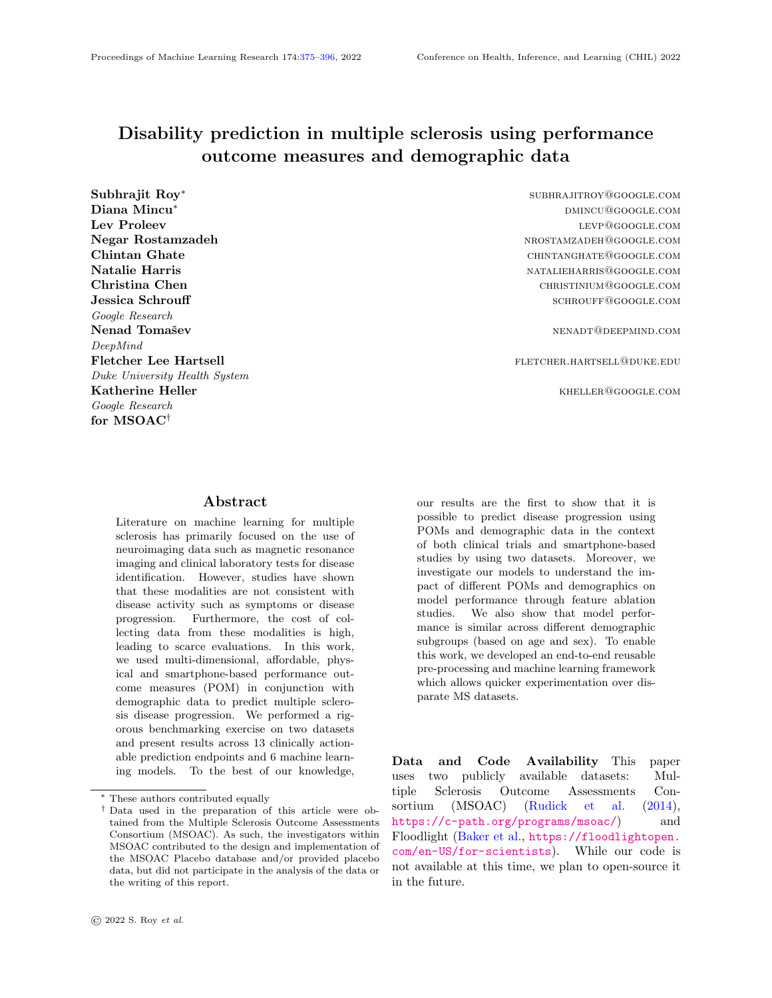| Field                                                | Type                                                                                                                | Format              | Description                                                                                                          |
|------------------------------------------------------|---------------------------------------------------------------------------------------------------------------------|---------------------|----------------------------------------------------------------------------------------------------------------------|
|                                                      | <b>Subject:</b> Defines all the data provided for a single subject.                                                 |                     |                                                                                                                      |
| subject_id                                           | string                                                                                                              | Optional            | Unique ID for each subject.                                                                                          |
| subject_characteristics                              | SubjectCharacteristics                                                                                              | Optional            | Defines the subject's characteristics.                                                                               |
| medical_history                                      | MedicalHistory                                                                                                      | Optional            | Defines the subject's medical history.                                                                               |
| episodes                                             | Episode                                                                                                             | Repeated            | A sequence of encounters corresponding to a single subject.                                                          |
|                                                      | Subject Characteristics: Defines all the data provided for a single subject.                                        |                     |                                                                                                                      |
| sex                                                  | Sex.Enum                                                                                                            | Optional            | The subject's sex.                                                                                                   |
|                                                      |                                                                                                                     |                     | MedicalHistory: Defines a sequence of outpatient events recorded before the current system started recording events. |
|                                                      |                                                                                                                     |                     | These typically are recorded with the same timestamp even though they took place over longer periods of time.        |
| clinical_events                                      | ClinicalEvent                                                                                                       | Repeated            | A clinical event.                                                                                                    |
|                                                      |                                                                                                                     |                     |                                                                                                                      |
| <b>Episode:</b> An abstraction of an event sequence. |                                                                                                                     |                     |                                                                                                                      |
| clinical_event                                       | ClinicalEvent                                                                                                       | Repeated            | A sequence of clinical events.                                                                                       |
| changing_characteristics                             | ChangingSubjectCharacteristics                                                                                      | optional            | Defines the subject's changing characteristics.                                                                      |
| clinical_trial                                       | ClinicalTrial                                                                                                       | optional            | Details about the clinical trial the subject was part of                                                             |
|                                                      |                                                                                                                     |                     | (if applicable).                                                                                                     |
|                                                      | ChangingSubjectCharacteristics: Defines the subject's changing characteristics.                                     |                     |                                                                                                                      |
| age                                                  | float                                                                                                               | optional            | The subject's age.                                                                                                   |
| gender                                               | Gender.Enum                                                                                                         | optional            | The subject's gender                                                                                                 |
| race                                                 | string                                                                                                              | optional            | The subject's race.                                                                                                  |
| weight                                               | float                                                                                                               | optional            | The subject's weight.                                                                                                |
| height                                               | float                                                                                                               | optional            | The subject's height.                                                                                                |
| country                                              | string                                                                                                              | optional            | The subject's country.                                                                                               |
| Sex. Enum: Defines the subject's sex information.    |                                                                                                                     |                     |                                                                                                                      |
| <b>FEMALE</b>                                        | $\theta$                                                                                                            | $\bar{\phantom{a}}$ | Female sex.                                                                                                          |
| MALE                                                 | 1                                                                                                                   | $\blacksquare$      | Male sex.                                                                                                            |
|                                                      | Gender.Enum: Defines the subject's gender information.                                                              |                     |                                                                                                                      |
| <b>UNKNOWN</b>                                       | $\theta$                                                                                                            | $\overline{a}$      | Unknown gender.                                                                                                      |
| <b>FEMALE</b>                                        | 1                                                                                                                   | $\bar{\phantom{a}}$ | Female gender.                                                                                                       |
|                                                      | $\overline{2}$                                                                                                      |                     |                                                                                                                      |
| MALE                                                 |                                                                                                                     | ÷,                  | Male gender.                                                                                                         |
| <b>OTHER</b>                                         | 3                                                                                                                   |                     | Other gender.                                                                                                        |
|                                                      | <b>ClinicalEvent:</b> Defines a single event or a set of coinciding individual events that happen at the same time. |                     |                                                                                                                      |
|                                                      |                                                                                                                     |                     | Timestamp of event. While for MSOAC, this corresponds to                                                             |
| timestamp                                            | int64                                                                                                               | optional            | the day of the clinic visit, for Floodlight, this is the                                                             |
|                                                      |                                                                                                                     |                     | timestamp recorded by the smartphone.                                                                                |
| resources                                            | Resource                                                                                                            | repeated            | A list of specific clinical entries recorded at this timestamp.                                                      |
| classification_labels                                | $map<$ string, int $64>$                                                                                            | required            | Classification labels for prediction.                                                                                |
| regression_labels                                    | $map$ string, float $>$                                                                                             | required            | Regression labels for prediction.                                                                                    |
|                                                      | Resource: Describes the various types of resources that can be contained within ClinicalEvent.                      |                     |                                                                                                                      |
| functional_test                                      | FunctionalTest                                                                                                      | optional            | Functional assessment test data.                                                                                     |
| questionnaire                                        | Questionnaire                                                                                                       | optional            | Questionnaires filled by the subjects.                                                                               |
| generic_resource                                     |                                                                                                                     |                     |                                                                                                                      |
|                                                      | GenericResource                                                                                                     | optional            |                                                                                                                      |
|                                                      |                                                                                                                     |                     | Generic resource to store dataset-specific intricacies.                                                              |
|                                                      | FunctionalTest: Functional assessment test data recorded from the subject.                                          |                     |                                                                                                                      |
| name                                                 | string                                                                                                              | optional            | Name of performance outcome measure.                                                                                 |
| category                                             | string                                                                                                              | optional            | Category of performance outcome measure.                                                                             |
| response                                             | NumericalResponse                                                                                                   | optional            | Numerical response recorded from subject.                                                                            |
|                                                      | Questionnaire: Questionnaire data recorded from the subject.                                                        |                     |                                                                                                                      |
| name                                                 | string                                                                                                              | optional            | Name of performance outcome measure.                                                                                 |
| category                                             | string                                                                                                              | optional            | Category of performance outcome measure.                                                                             |
| response                                             | QuestionnaireResponse                                                                                               | optional            | Questionnaire response recorded from subject.                                                                        |
|                                                      | NumericalResponse: Numeric response converted to standardized unit.                                                 |                     |                                                                                                                      |
| numerical_response_std_unit                          | float                                                                                                               | optional            | Numeric response converted to standardized unit.                                                                     |
|                                                      |                                                                                                                     |                     | Standardized unit. This unit was used for                                                                            |
| std_unit                                             | string                                                                                                              | optional            | homogenizing the data.                                                                                               |
|                                                      | <b>QuestionnaireResponse:</b> Responses recorded from questionnaires.                                               |                     |                                                                                                                      |
| text_response_orig                                   | string                                                                                                              | optional            | Response in original text.                                                                                           |
| text_response_std                                    | string                                                                                                              | optional            | Response in standardized text.                                                                                       |
| numeric_response_std                                 | $_{\text{float}}$                                                                                                   | optional            | Standardized numeric response.                                                                                       |
| categorical_response_std                             | string                                                                                                              | optional            | Standardized categorical response. An example entry                                                                  |

Table 6: Description of the common Subject representation.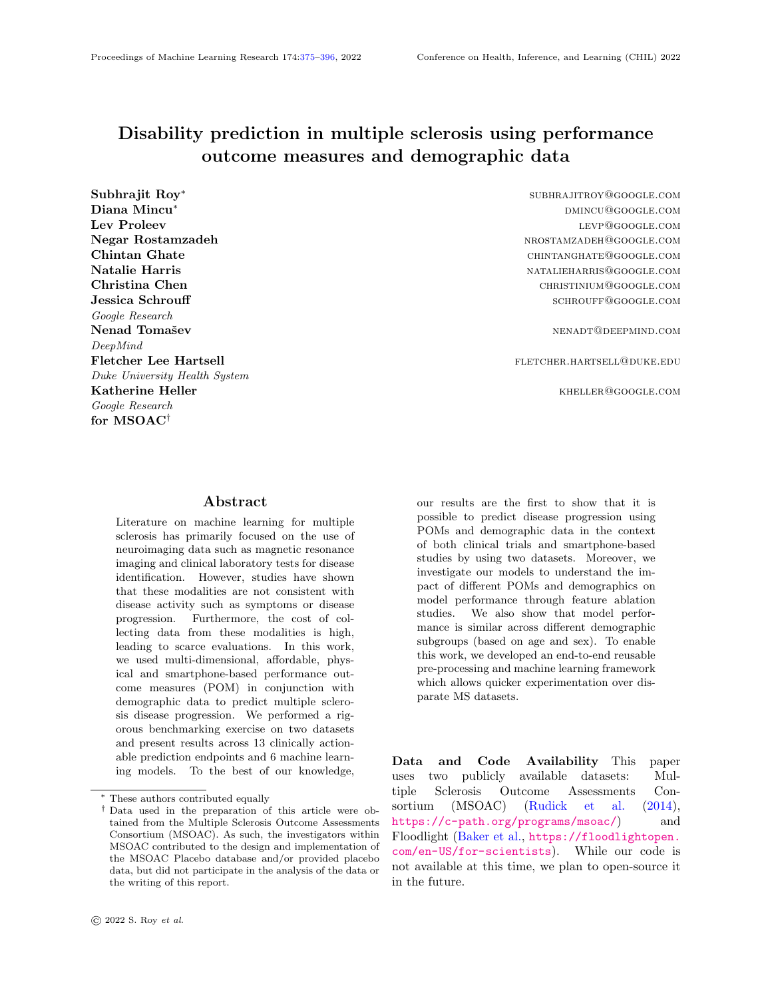<span id="page-15-0"></span>

| Field               | Type                                                         | Description                                                 |  |  |
|---------------------|--------------------------------------------------------------|-------------------------------------------------------------|--|--|
|                     | <b>Prediction:</b> Defines the model output information.     |                                                             |  |  |
| subject_id          | string                                                       | Unique ID for each subject.                                 |  |  |
|                     |                                                              | Timestamp of event. While for MSOAC, this corresponds       |  |  |
| timestamp           | int64                                                        | to the day of the clinic visit, for Floodlight, this is the |  |  |
|                     |                                                              | timestamp recorded by the smartphone.                       |  |  |
| label_targets       | $map$ < string, float >                                      | A mapping from label name to the target value for the       |  |  |
|                     |                                                              | particular timestamp this is recorded for.                  |  |  |
|                     |                                                              | A mapping from label name to the predicted values for       |  |  |
| label_predictions   | $map \leq string$ , list $<$ float >>                        | the particular timestamp this is recorded for. Multiple     |  |  |
|                     |                                                              | values are recorded to account for multi-class predictions. |  |  |
| subgroup_attributes | $map \leq string$ , one of $\leq string$ , int, float $\geq$ | A mapping from subgroup name (such as Sex, or Age) to       |  |  |
|                     |                                                              | the exact value (e.g. Female, or $56$ ).                    |  |  |

Table 7: Description of the common Prediction representation.

<span id="page-15-1"></span>Table 8: Hyperparameter search for models considered in this study.

| Model                       | Hyperparameter search space                         |
|-----------------------------|-----------------------------------------------------|
| Logistic Regression         | $C = [1e-2, 1e-1, 1., 1e+1, 1e+2]$                  |
| Linear Regression           |                                                     |
| <b>MLP</b>                  | network_size = $[(16, 16), (16, 16, 16), (32, 32)]$ |
|                             | learning_rate = $[0.001, 0.01]$                     |
|                             | $n_{\text{estimators}} = [100, 150]$                |
| Gradient Boosted Classifier | learning_rate = $[0.001, 0.01]$                     |
|                             | $max_{def}$ = [3, 5]                                |
|                             | $n_{\text{estimators}} = [100, 150]$                |
| Gradient Boosted Regressor  | learning_rate = $[0.001, 0.01]$                     |
|                             | $max_{\text{depth}} = [3, 5]$                       |
|                             | num_filters = $[16, 32, 64]$                        |
| TemporalConvNet             | kernel_size $=$ [3, 5]                              |
|                             | learning_rate = $[0.001, 0.05, 0.01]$               |
|                             | $\text{dropout} = [0.0, 0.5]$                       |

## Appendix D. Disability progression labels

Figure [6](#page-15-2) illustrates the computation of the baseline values and how they are used to create the final Worsening/Unchanged/Improved outcome, for each functional test and questionnaire. In the first  $c$  timesteps we compute a baseline value for each feature. For each following timestep we perform two actions:

- We compare the value at the new timestep with the baseline value we have for that feature. If the difference in value is greater than a threshold (in our case 20% increase or decrease), we set a label of Worsening/Improving. Otherwise the label value gets set to Unchanged.
- We update the baseline value for each feature based on this new information.

While this task could have been posed as "are any of the tests/questionnaires deviating from the baseline?", the per-test prediction was considered to be



<span id="page-15-2"></span>Figure 6: Disability progression label definition

more clinically actionable as the actual test is more informative than "something is wrong".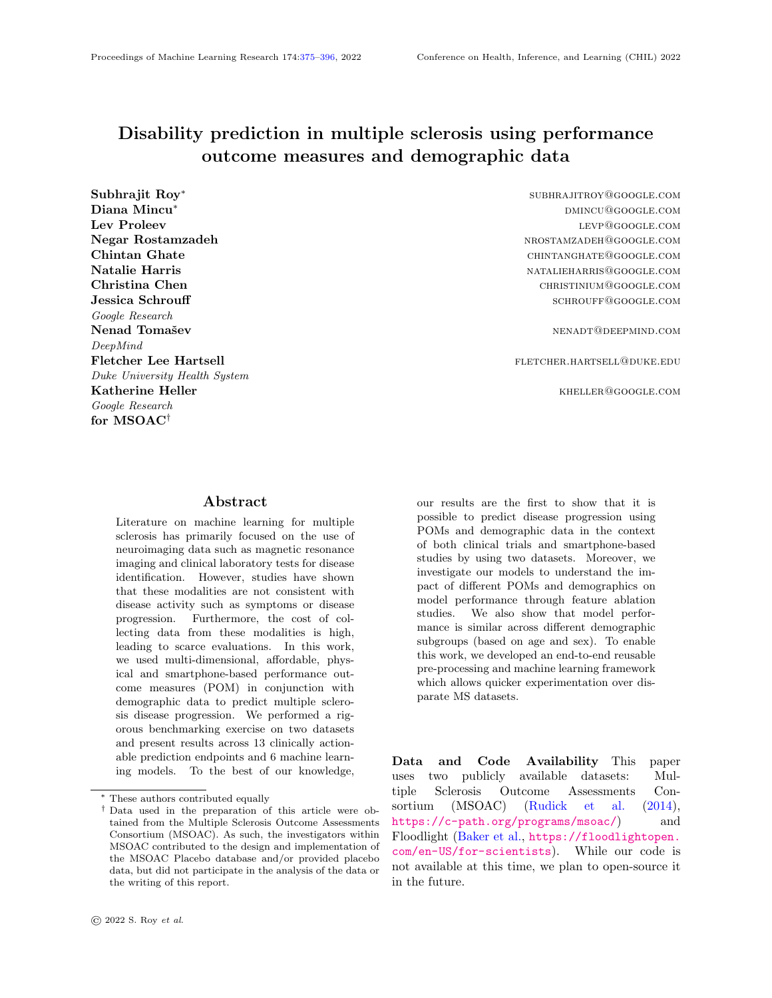## Appendix E. Statistics of prediction tasks

Table [9](#page-17-0) shows the class distribution for both binary and multi-class classification tasks, while Figures [7](#page-18-0) and [8](#page-18-1) present a histogram of the label values for the regression tasks.

We note a higher class imbalance for  $EDSS_{mean}$ 5, even for the shorter horizon of 0-6 months, while  $EDSS_{mean} > 3$  starts off in a more balanced state for the same time<br>frame.  $EDSS_{mean}$  as severity category shows a similar trend to  $EDSS_{mean} > 3$ , with the shorter time horizon being balanced and the longer time horizon seeing "No disability" as the most prevalent label. We believe this is due to the fact that we do not have information so far into the future, so the default values of "No disability" get used instead. Future work will look into handling this lack of future information. For Floodlight we note that the labels are zero-inflated.

For the classification tasks in MSOAC, we can see the class distribution for the age subgroups, by each cross-validation split, in Figures [9,](#page-19-0) [10](#page-19-1) and [11.](#page-21-1) Note that splits tend to have very different distributions of age groups, which explains the higher standard deviation for the less prominent groups (age <30).

## Appendix F. Feature ablation studies

Table [10](#page-20-0) contains results for the feature ablation studies on both MSOAC and Floodlight. For MSOAC the label horizon chosen was 6-12 months, while for Floodlight it was 1-2 weeks.

## Appendix G. Subgroup analysis

Table [11](#page-21-2) presents subgroup results for the classification tasks performed on the MSOAC dataset, for the 6-12 month horizon.

## Appendix H. Ethical considerations and broader impact

Employing easily accessible information in diagnosis and predicting the progression of MS, can have many advantages, including but not limited to better choices of treatment and interventions for each patient, and hopefully reducing the number of relapses in RRMS and hence, the disability of patients. However, these studies should be done with a great

amount of care. First, multiple studies have shown great disparity of results between various demographics, typically stemming from representation issues in datasets. Besides potential disparity of results among demographics, we should pay great care about where and how this research is being used. This is of importance, especially where the resources are scarce. In addition, it is important to note, we intend the outcome of this study to be used for patients' access to better choices of treatment and not for this information to be used for unintended purposes such as insurance policies.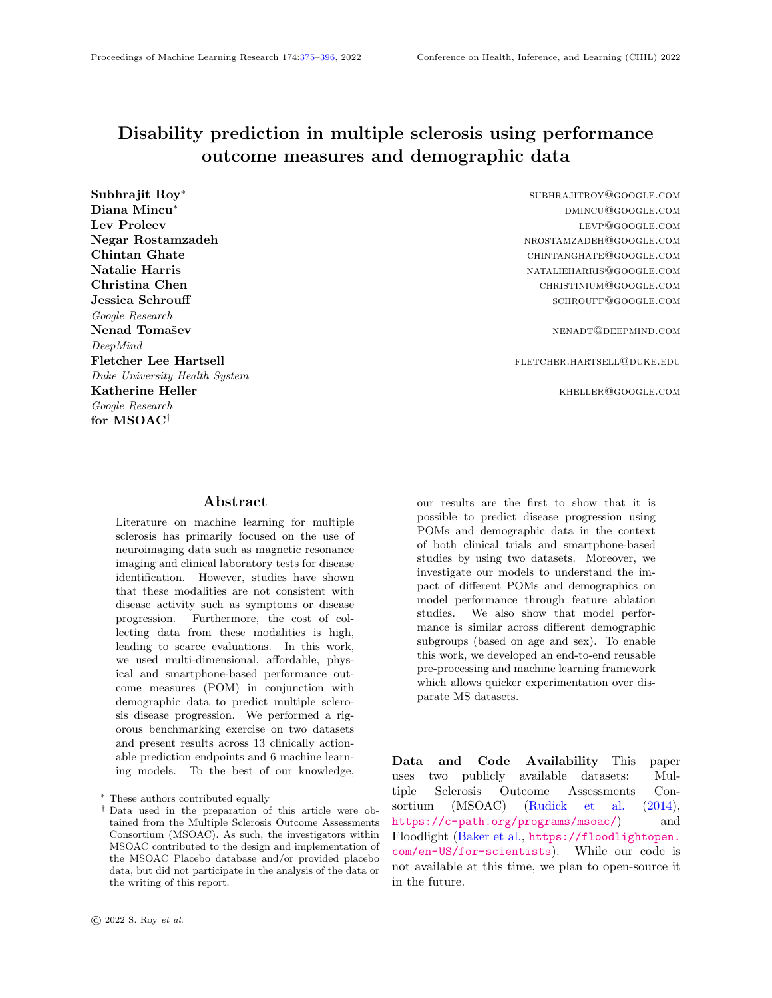| Dataset      | Prediction<br>tasks                                      | Prediction<br>Window  | Class         | Percentage         |
|--------------|----------------------------------------------------------|-----------------------|---------------|--------------------|
| <b>MSOAC</b> | $EDSS_{mean}$<br>$> 3$ (Moderate<br>disability)          | $0 - 6$ mo            | False         | 53.49              |
|              |                                                          |                       | True          | 46.51              |
|              |                                                          | $6 - 12 \text{ mo}$   | False         | 60.02              |
|              |                                                          |                       | True          | 39.98              |
|              |                                                          | $12 - 18$ mo          | False         | 69.47              |
|              |                                                          |                       | True          | 30.53              |
|              |                                                          | $18 - 24$ mo          | False         | 77.28              |
|              |                                                          |                       | True          | 22.72              |
|              | $\overline{EDSS_{mean}}$<br>$> 5$ (Severe<br>disability) | $0 - 6$ mo            | False         | 77.3               |
|              |                                                          |                       | True          | 22.7               |
|              |                                                          | $6 - 12$ mo           | False         | 79.8               |
|              |                                                          |                       | True          | 20.2               |
|              |                                                          | $12 - 18$ mo          | False         | 83.83              |
|              |                                                          |                       | True          | 16.17              |
|              |                                                          | $18 - 24$ mo          | False         | 87.73              |
|              |                                                          |                       | True          | 12.27              |
|              | $EDSS_{mean}$<br>as severity<br>category                 | $0$ - $6~\mathrm{mo}$ | No disability | 24.52              |
|              |                                                          |                       | Mild          | 24.63              |
|              |                                                          |                       | Moderate      | 26.17              |
|              |                                                          |                       | Severe        | 24.66              |
|              |                                                          | $6 - 12 \text{ mo}$   | No disability | $\overline{36.72}$ |
|              |                                                          |                       | Mild          | 20.05              |
|              |                                                          |                       | Moderate      | 21.57              |
|              |                                                          |                       | Severe        | 21.65              |
|              |                                                          | $12 - 18$ mo          | No disability | 53.04              |
|              |                                                          |                       | Mild          | 14.12              |
|              |                                                          |                       | Moderate      | 15.47              |
|              |                                                          |                       | Severe        | 17.35              |
|              |                                                          | $18 - 24$ mo          | No disability | 64.90              |
|              |                                                          |                       | Mild          | 10.52              |
|              |                                                          |                       | Moderate      | 11.42              |
|              |                                                          |                       | Severe        | 13.14              |

Table 9: Label distributions for classification tasks

<span id="page-17-0"></span>ł.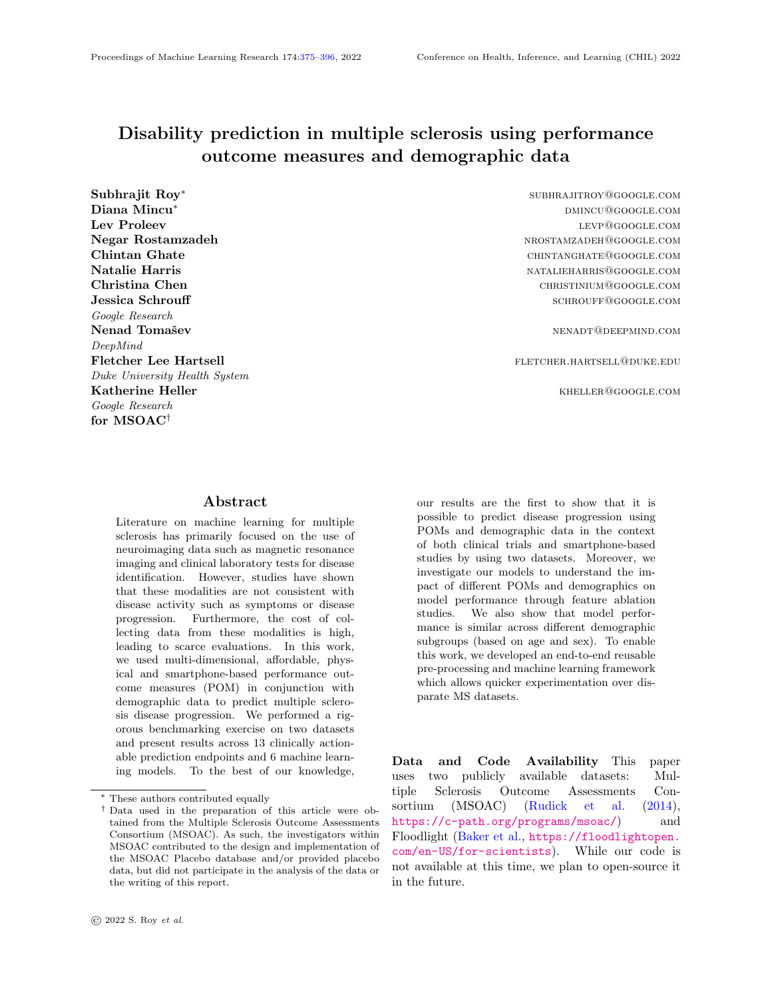

<span id="page-18-0"></span>Figure 7: Histograms of regression labels derived from EDSS scores recorded in the MSOAC dataset.



<span id="page-18-1"></span>Figure 8: Histograms of regression labels derived from the Floodlight dataset.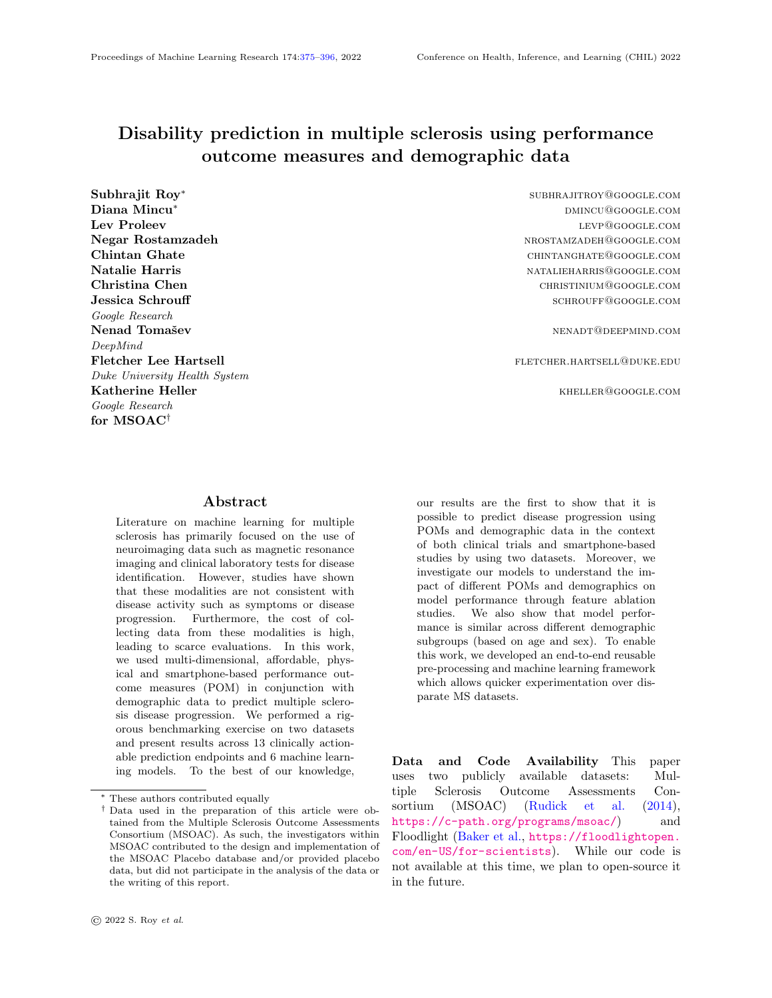#### MS disability prediction



Figure 9: Class distribution by split for EDSS >3.

<span id="page-19-0"></span>

<span id="page-19-1"></span>Figure 10: Class distribution by split for EDSS >5.